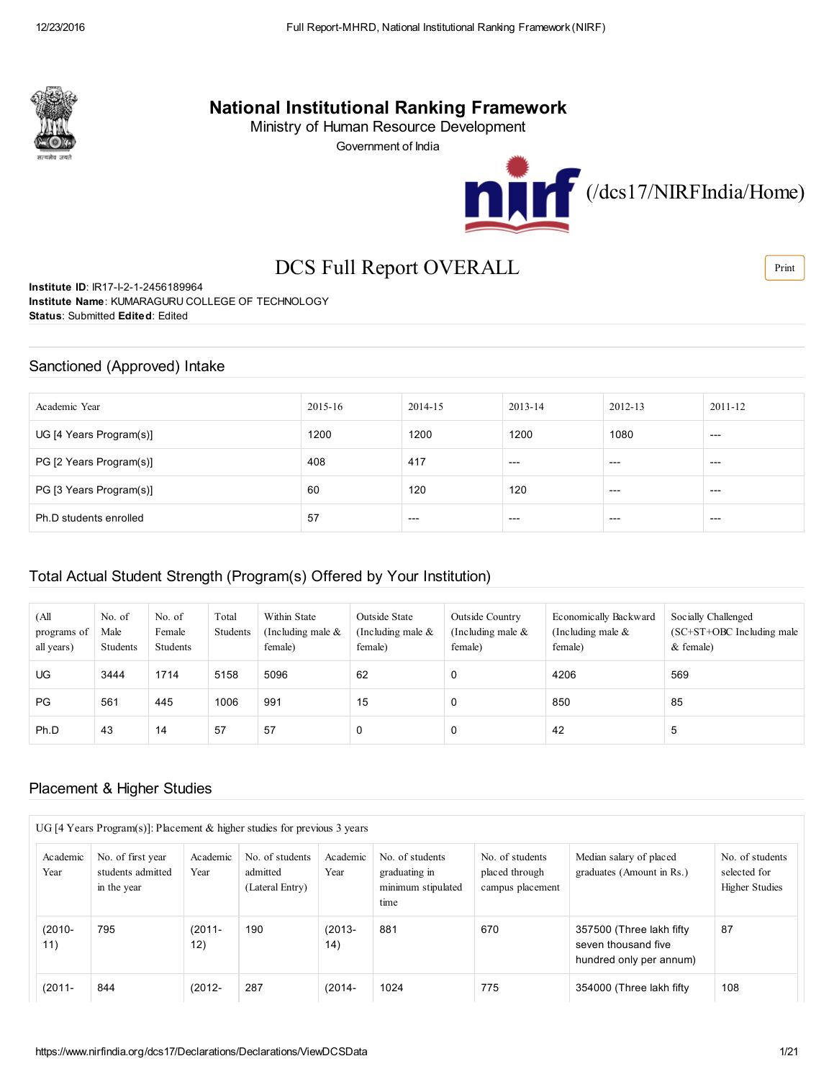

## National Institutional Ranking Framework

Ministry of Human Resource Development

Government of India



# DCS Full Report OVERALL

Institute ID: IR17-I-2-1-2456189964 Institute Name: KUMARAGURU COLLEGE OF TECHNOLOGY Status: Submitted Edited: Edited

### Sanctioned (Approved) Intake

| Academic Year           | 2015-16 | 2014-15 | 2013-14 | 2012-13 | 2011-12 |
|-------------------------|---------|---------|---------|---------|---------|
| UG [4 Years Program(s)] | 1200    | 1200    | 1200    | 1080    | $---$   |
| PG [2 Years Program(s)] | 408     | 417     | $---$   | $---$   | $---$   |
| PG [3 Years Program(s)] | 60      | 120     | 120     | $---$   | $---$   |
| Ph.D students enrolled  | 57      | $---$   | $---$   | $---$   | $---$   |

### Total Actual Student Strength (Program(s) Offered by Your Institution)

| (All<br>programs of<br>all years) | No. of<br>Male<br>Students | No. of<br>Female<br>Students | Total<br>Students | Within State<br>(Including male $\&$<br>female) | Outside State<br>(Including male $\&$<br>female) | Outside Country<br>(Including male $\&$<br>female) | Economically Backward<br>(Including male $\&$<br>female) | Socially Challenged<br>$SC+ST+OBC$ Including male<br>$&$ female) |
|-----------------------------------|----------------------------|------------------------------|-------------------|-------------------------------------------------|--------------------------------------------------|----------------------------------------------------|----------------------------------------------------------|------------------------------------------------------------------|
| UG.                               | 3444                       | 1714                         | 5158              | 5096                                            | 62                                               | 0                                                  | 4206                                                     | 569                                                              |
| PG                                | 561                        | 445                          | 1006              | 991                                             | 15                                               | 0                                                  | 850                                                      | 85                                                               |
| Ph.D                              | 43                         | 14                           | 57                | 57                                              | 0                                                | $\Omega$                                           | 42                                                       | 5                                                                |

### Placement & Higher Studies

|                  | UG [4 Years Program(s)]: Placement & higher studies for previous 3 years |                  |                                                |                  |                                                                |                                                       |                                                                             |                                                          |
|------------------|--------------------------------------------------------------------------|------------------|------------------------------------------------|------------------|----------------------------------------------------------------|-------------------------------------------------------|-----------------------------------------------------------------------------|----------------------------------------------------------|
| Academic<br>Year | No. of first year<br>students admitted<br>in the year                    | Academic<br>Year | No. of students<br>admitted<br>(Lateral Entry) | Academic<br>Year | No. of students<br>graduating in<br>minimum stipulated<br>time | No. of students<br>placed through<br>campus placement | Median salary of placed<br>graduates (Amount in Rs.)                        | No. of students<br>selected for<br><b>Higher Studies</b> |
| $(2010 -$<br>11) | 795                                                                      | $(2011 -$<br>12) | 190                                            | $(2013 -$<br>14) | 881                                                            | 670                                                   | 357500 (Three lakh fifty)<br>seven thousand five<br>hundred only per annum) | 87                                                       |
| $(2011 -$        | 844                                                                      | $(2012 -$        | 287                                            | (2014-           | 1024                                                           | 775                                                   | 354000 (Three lakh fifty)                                                   | 108                                                      |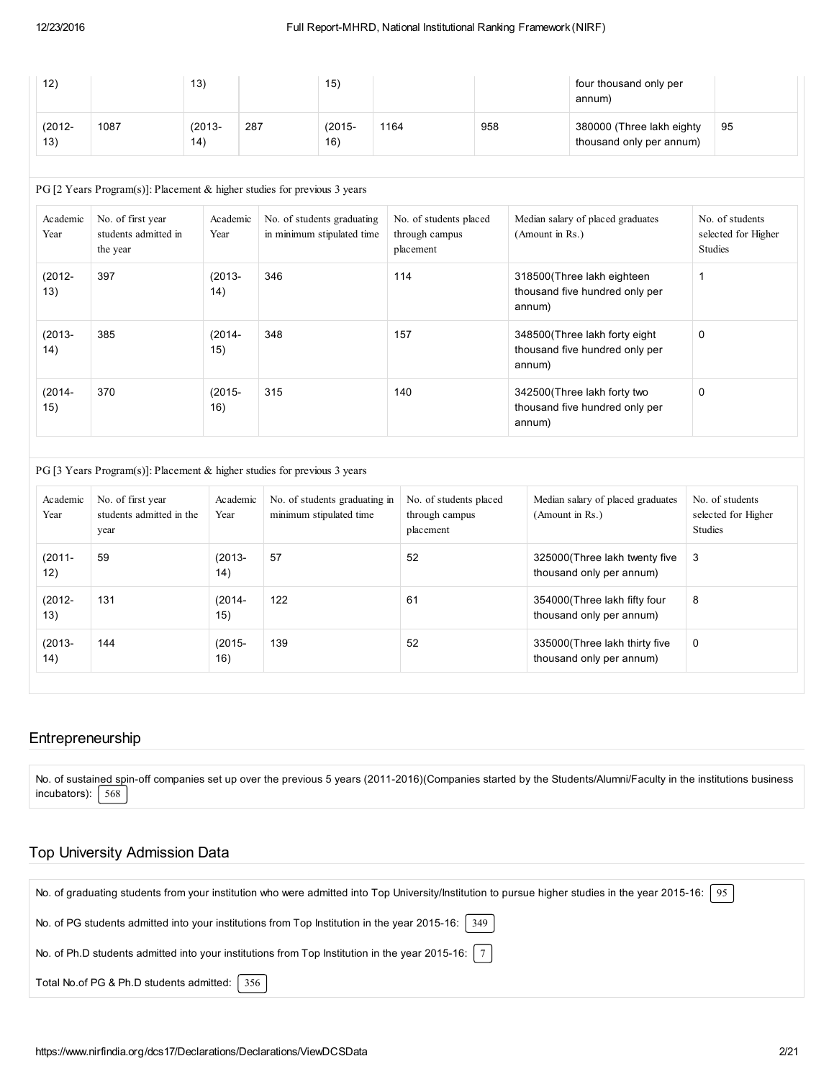| 12)              |      | 13)              |     | 15)              |      |     | four thousand only per<br>annum)                      |    |
|------------------|------|------------------|-----|------------------|------|-----|-------------------------------------------------------|----|
| $(2012 -$<br>13) | 1087 | $(2013 -$<br>14) | 287 | $(2015 -$<br>16) | 1164 | 958 | 380000 (Three lakh eighty<br>thousand only per annum) | 95 |

#### PG [2 Years Program(s)]: Placement & higher studies for previous 3 years

| Academic<br>Year | No. of first year<br>students admitted in<br>the year | Academic<br>Year | No. of students graduating<br>in minimum stipulated time | No. of students placed<br>through campus<br>placement | Median salary of placed graduates<br>(Amount in Rs.)                       | No. of students<br>selected for Higher<br><b>Studies</b> |
|------------------|-------------------------------------------------------|------------------|----------------------------------------------------------|-------------------------------------------------------|----------------------------------------------------------------------------|----------------------------------------------------------|
| $(2012 -$<br>13) | 397                                                   | $(2013 -$<br>14) | 346                                                      | 114                                                   | 318500 (Three lakh eighteen<br>thousand five hundred only per<br>annum)    |                                                          |
| $(2013 -$<br>14) | 385                                                   | $(2014 -$<br>15) | 348                                                      | 157                                                   | 348500 (Three lakh forty eight<br>thousand five hundred only per<br>annum) | 0                                                        |
| $(2014 -$<br>15) | 370                                                   | $(2015 -$<br>16) | 315                                                      | 140                                                   | 342500 (Three lakh forty two<br>thousand five hundred only per<br>annum)   | $\mathbf 0$                                              |

### PG [3 Years Program(s)]: Placement & higher studies for previous 3 years

| Academic<br>Year | No. of first year<br>students admitted in the<br>year | Academic<br>Year | No. of students graduating in<br>minimum stipulated time | No. of students placed<br>through campus<br>placement | Median salary of placed graduates<br>(Amount in Rs.)       | No. of students<br>selected for Higher<br><b>Studies</b> |
|------------------|-------------------------------------------------------|------------------|----------------------------------------------------------|-------------------------------------------------------|------------------------------------------------------------|----------------------------------------------------------|
| $(2011 -$<br>12) | 59                                                    | $(2013 -$<br>14) | 57                                                       | 52                                                    | 325000 (Three lakh twenty five<br>thousand only per annum) | 3                                                        |
| $(2012 -$<br>13) | 131                                                   | $(2014 -$<br>15) | 122                                                      | 61                                                    | 354000 (Three lakh fifty four<br>thousand only per annum)  | 8                                                        |
| $(2013 -$<br>14) | 144                                                   | $(2015 -$<br>16) | 139                                                      | 52                                                    | 335000 (Three lakh thirty five<br>thousand only per annum) | 0                                                        |

### Entrepreneurship

No. of sustained spin-off companies set up over the previous 5 years (2011-2016)(Companies started by the Students/Alumni/Faculty in the institutions business incubators):  $\sqrt{568}$ 

### Top University Admission Data

| No. of graduating students from your institution who were admitted into Top University/Institution to pursue higher studies in the year 2015-16:<br>95 |
|--------------------------------------------------------------------------------------------------------------------------------------------------------|
| No. of PG students admitted into your institutions from Top Institution in the year 2015-16:   349                                                     |
| No. of Ph.D students admitted into your institutions from Top Institution in the year 2015-16: $ 7 $                                                   |
| Total No.of PG & Ph.D students admitted:   356                                                                                                         |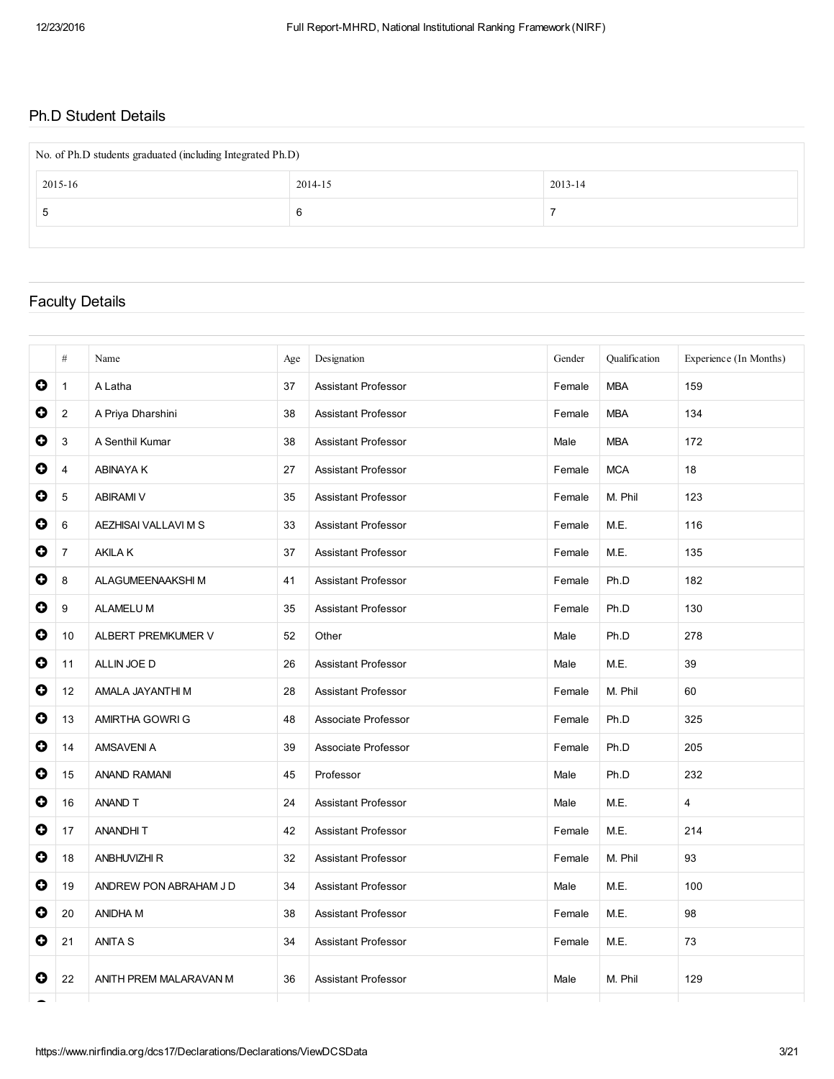## Ph.D Student Details

| No. of Ph.D students graduated (including Integrated Ph.D) |         |         |  |  |  |  |  |
|------------------------------------------------------------|---------|---------|--|--|--|--|--|
| 2015-16                                                    | 2014-15 | 2013-14 |  |  |  |  |  |
| Ð                                                          | 6       |         |  |  |  |  |  |
|                                                            |         |         |  |  |  |  |  |

# Faculty Details

|           | #              | Name                   | Age | Designation                | Gender | Qualification | Experience (In Months)  |
|-----------|----------------|------------------------|-----|----------------------------|--------|---------------|-------------------------|
| $\bullet$ | $\mathbf{1}$   | A Latha                | 37  | <b>Assistant Professor</b> | Female | <b>MBA</b>    | 159                     |
| $\bullet$ | $\overline{2}$ | A Priya Dharshini      | 38  | <b>Assistant Professor</b> | Female | <b>MBA</b>    | 134                     |
| $\bullet$ | 3              | A Senthil Kumar        | 38  | <b>Assistant Professor</b> | Male   | <b>MBA</b>    | 172                     |
| $\bullet$ | 4              | ABINAYA K              | 27  | <b>Assistant Professor</b> | Female | <b>MCA</b>    | 18                      |
| $\bullet$ | 5              | <b>ABIRAMI V</b>       | 35  | <b>Assistant Professor</b> | Female | M. Phil       | 123                     |
| $\bullet$ | 6              | AEZHISAI VALLAVI M S   | 33  | <b>Assistant Professor</b> | Female | M.E.          | 116                     |
| $\bullet$ | $\overline{7}$ | <b>AKILA K</b>         | 37  | <b>Assistant Professor</b> | Female | M.E.          | 135                     |
| $\bullet$ | 8              | ALAGUMEENAAKSHI M      | 41  | <b>Assistant Professor</b> | Female | Ph.D          | 182                     |
| $\bullet$ | 9              | <b>ALAMELUM</b>        | 35  | <b>Assistant Professor</b> | Female | Ph.D          | 130                     |
| $\bullet$ | 10             | ALBERT PREMKUMER V     | 52  | Other                      | Male   | Ph.D          | 278                     |
| $\bullet$ | 11             | ALLIN JOE D            | 26  | <b>Assistant Professor</b> | Male   | M.E.          | 39                      |
| 0         | 12             | AMALA JAYANTHI M       | 28  | <b>Assistant Professor</b> | Female | M. Phil       | 60                      |
| $\bullet$ | 13             | AMIRTHA GOWRI G        | 48  | Associate Professor        | Female | Ph.D          | 325                     |
| $\bullet$ | 14             | AMSAVENI A             | 39  | Associate Professor        | Female | Ph.D          | 205                     |
| $\bullet$ | 15             | <b>ANAND RAMANI</b>    | 45  | Professor                  | Male   | Ph.D          | 232                     |
| $\bullet$ | 16             | ANAND T                | 24  | <b>Assistant Professor</b> | Male   | M.E.          | $\overline{\mathbf{4}}$ |
| $\bullet$ | 17             | ANANDHIT               | 42  | <b>Assistant Professor</b> | Female | M.E.          | 214                     |
| $\bullet$ | 18             | <b>ANBHUVIZHI R</b>    | 32  | <b>Assistant Professor</b> | Female | M. Phil       | 93                      |
| $\bullet$ | 19             | ANDREW PON ABRAHAM J D | 34  | <b>Assistant Professor</b> | Male   | M.E.          | 100                     |
| $\bullet$ | 20             | ANIDHA M               | 38  | <b>Assistant Professor</b> | Female | M.E.          | 98                      |
| $\bullet$ | 21             | <b>ANITA S</b>         | 34  | <b>Assistant Professor</b> | Female | M.E.          | 73                      |
| 0         | 22             | ANITH PREM MALARAVAN M | 36  | <b>Assistant Professor</b> | Male   | M. Phil       | 129                     |
|           |                |                        |     |                            |        |               |                         |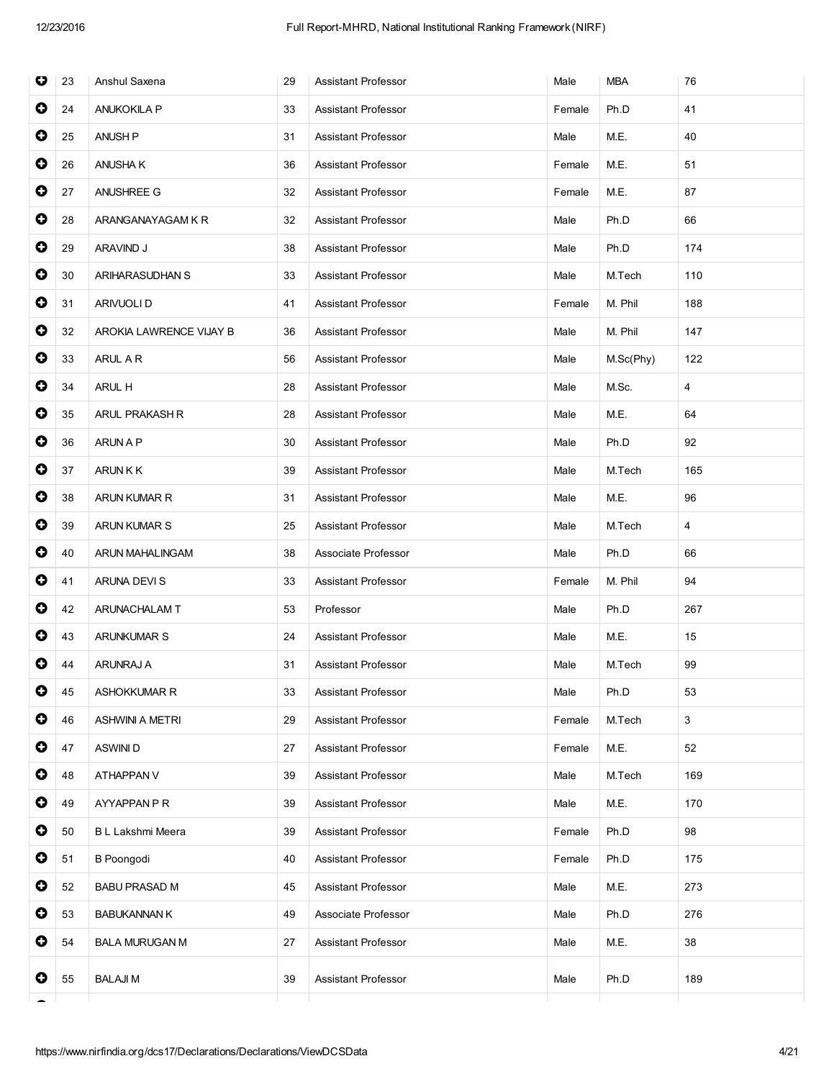| O         | 23 | Anshul Saxena           | 29 | Assistant Professor        | Male   | <b>MBA</b> | 76  |
|-----------|----|-------------------------|----|----------------------------|--------|------------|-----|
| $\bullet$ | 24 | <b>ANUKOKILA P</b>      | 33 | <b>Assistant Professor</b> | Female | Ph.D       | 41  |
| $\bullet$ | 25 | <b>ANUSH P</b>          | 31 | Assistant Professor        | Male   | M.E.       | 40  |
| 0         | 26 | ANUSHA K                | 36 | Assistant Professor        | Female | M.E.       | 51  |
| $\bullet$ | 27 | ANUSHREE G              | 32 | <b>Assistant Professor</b> | Female | M.E.       | 87  |
| $\bullet$ | 28 | ARANGANAYAGAM K R       | 32 | Assistant Professor        | Male   | Ph.D       | 66  |
| $\bullet$ | 29 | ARAVIND J               | 38 | Assistant Professor        | Male   | Ph.D       | 174 |
| $\bullet$ | 30 | ARIHARASUDHAN S         | 33 | <b>Assistant Professor</b> | Male   | M.Tech     | 110 |
| $\bullet$ | 31 | ARIVUOLI D              | 41 | <b>Assistant Professor</b> | Female | M. Phil    | 188 |
| $\bullet$ | 32 | AROKIA LAWRENCE VIJAY B | 36 | Assistant Professor        | Male   | M. Phil    | 147 |
| $\bullet$ | 33 | ARUL A R                | 56 | Assistant Professor        | Male   | M.Sc(Phy)  | 122 |
| $\bullet$ | 34 | ARUL H                  | 28 | Assistant Professor        | Male   | M.Sc.      | 4   |
| $\bullet$ | 35 | <b>ARUL PRAKASH R</b>   | 28 | <b>Assistant Professor</b> | Male   | M.E.       | 64  |
| $\bullet$ | 36 | ARUN A P                | 30 | Assistant Professor        | Male   | Ph.D       | 92  |
| $\bullet$ | 37 | <b>ARUNKK</b>           | 39 | <b>Assistant Professor</b> | Male   | M.Tech     | 165 |
| $\bullet$ | 38 | ARUN KUMAR R            | 31 | Assistant Professor        | Male   | M.E.       | 96  |
| $\bullet$ | 39 | <b>ARUN KUMAR S</b>     | 25 | Assistant Professor        | Male   | M.Tech     | 4   |
| 0         | 40 | ARUN MAHALINGAM         | 38 | Associate Professor        | Male   | Ph.D       | 66  |
| $\bullet$ | 41 | ARUNA DEVIS             | 33 | Assistant Professor        | Female | M. Phil    | 94  |
| $\bullet$ | 42 | ARUNACHALAM T           | 53 | Professor                  | Male   | Ph.D       | 267 |
| 0         | 43 | <b>ARUNKUMAR S</b>      | 24 | Assistant Professor        | Male   | M.E.       | 15  |
| 0         | 44 | ARUNRAJ A               | 31 | <b>Assistant Professor</b> | Male   | M.Tech     | 99  |
| $\bullet$ | 45 | <b>ASHOKKUMAR R</b>     | 33 | Assistant Professor        | Male   | Ph.D       | 53  |
| $\bullet$ | 46 | <b>ASHWINI A METRI</b>  | 29 | Assistant Professor        | Female | M.Tech     | 3   |
| $\bullet$ | 47 | ASWINI D                | 27 | Assistant Professor        | Female | M.E.       | 52  |
| $\bullet$ | 48 | ATHAPPAN V              | 39 | Assistant Professor        | Male   | M.Tech     | 169 |
| 0         | 49 | AYYAPPAN P R            | 39 | Assistant Professor        | Male   | M.E.       | 170 |
| 0         | 50 | B L Lakshmi Meera       | 39 | Assistant Professor        | Female | Ph.D       | 98  |
| $\bullet$ | 51 | <b>B</b> Poongodi       | 40 | Assistant Professor        | Female | Ph.D       | 175 |
| $\bullet$ | 52 | <b>BABU PRASAD M</b>    | 45 | Assistant Professor        | Male   | M.E.       | 273 |
| 0         | 53 | <b>BABUKANNAN K</b>     | 49 | Associate Professor        | Male   | Ph.D       | 276 |
| 0         | 54 | <b>BALA MURUGAN M</b>   | 27 | Assistant Professor        | Male   | M.E.       | 38  |
| 0         | 55 | <b>BALAJIM</b>          | 39 | <b>Assistant Professor</b> | Male   | Ph.D       | 189 |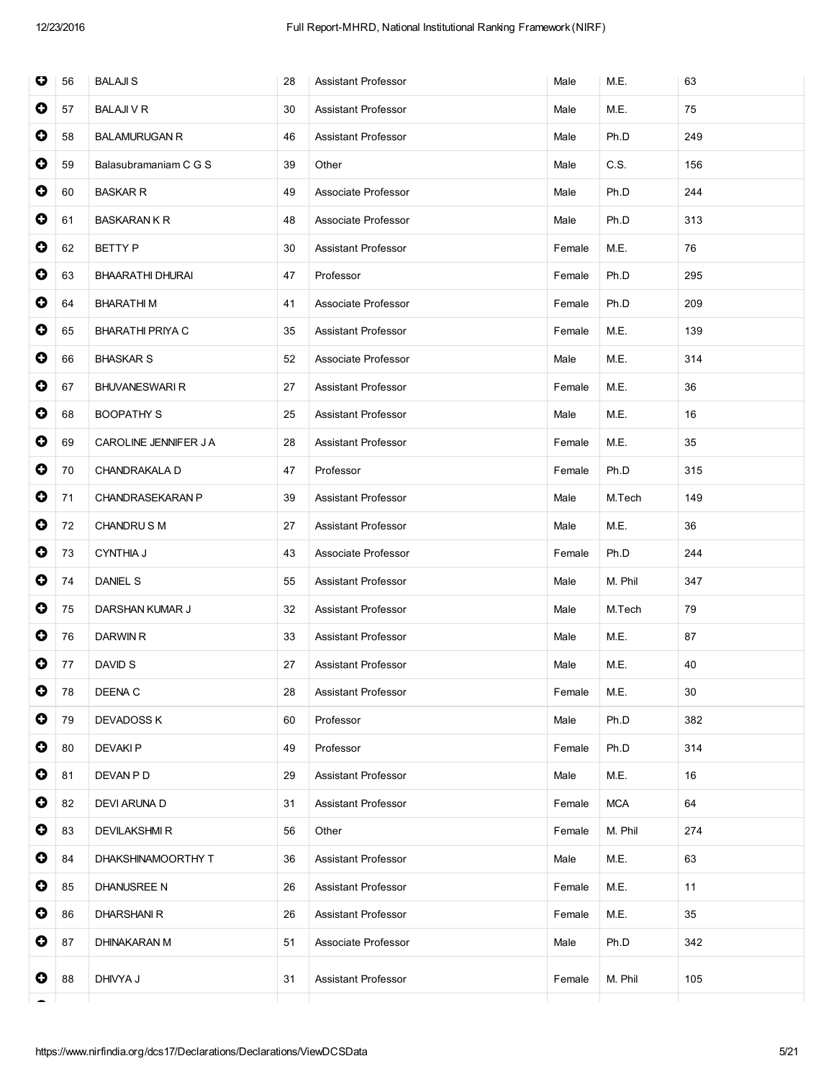| O         | 56 | <b>BALAJIS</b>          | 28 | <b>Assistant Professor</b> | Male   | M.E.    | 63  |
|-----------|----|-------------------------|----|----------------------------|--------|---------|-----|
| 0         | 57 | <b>BALAJI V R</b>       | 30 | <b>Assistant Professor</b> | Male   | M.E.    | 75  |
| $\bullet$ | 58 | <b>BALAMURUGAN R</b>    | 46 | Assistant Professor        | Male   | Ph.D    | 249 |
| 0         | 59 | Balasubramaniam C G S   | 39 | Other                      | Male   | C.S.    | 156 |
| 0         | 60 | <b>BASKAR R</b>         | 49 | Associate Professor        | Male   | Ph.D    | 244 |
| $\bullet$ | 61 | <b>BASKARAN K R</b>     | 48 | Associate Professor        | Male   | Ph.D    | 313 |
| $\bullet$ | 62 | <b>BETTY P</b>          | 30 | Assistant Professor        | Female | M.E.    | 76  |
| $\bullet$ | 63 | BHAARATHI DHURAI        | 47 | Professor                  | Female | Ph.D    | 295 |
| 0         | 64 | <b>BHARATHIM</b>        | 41 | Associate Professor        | Female | Ph.D    | 209 |
| $\bullet$ | 65 | <b>BHARATHI PRIYA C</b> | 35 | Assistant Professor        | Female | M.E.    | 139 |
| $\bullet$ | 66 | <b>BHASKAR S</b>        | 52 | Associate Professor        | Male   | M.E.    | 314 |
| $\bullet$ | 67 | <b>BHUVANESWARI R</b>   | 27 | <b>Assistant Professor</b> | Female | M.E.    | 36  |
| $\bullet$ | 68 | <b>BOOPATHY S</b>       | 25 | <b>Assistant Professor</b> | Male   | M.E.    | 16  |
| 0         | 69 | CAROLINE JENNIFER J A   | 28 | <b>Assistant Professor</b> | Female | M.E.    | 35  |
| $\bullet$ | 70 | CHANDRAKALA D           | 47 | Professor                  | Female | Ph.D    | 315 |
| $\bullet$ | 71 | CHANDRASEKARAN P        | 39 | Assistant Professor        | Male   | M.Tech  | 149 |
| $\bullet$ | 72 | CHANDRUS M              | 27 | Assistant Professor        | Male   | M.E.    | 36  |
| 0         | 73 | <b>CYNTHIA J</b>        | 43 | Associate Professor        | Female | Ph.D    | 244 |
| 0         | 74 | <b>DANIEL S</b>         | 55 | Assistant Professor        | Male   | M. Phil | 347 |
| $\bullet$ | 75 | DARSHAN KUMAR J         | 32 | Assistant Professor        | Male   | M.Tech  | 79  |
| $\bullet$ | 76 | DARWIN R                | 33 | Assistant Professor        | Male   | M.E.    | 87  |
| 0         | 77 | DAVID S                 | 27 | Assistant Professor        | Male   | M.E.    | 40  |
| $\bullet$ | 78 | DEENA C                 | 28 | Assistant Professor        | Female | M.E.    | 30  |
| 0         | 79 | <b>DEVADOSS K</b>       | 60 | Professor                  | Male   | Ph.D    | 382 |
| $\bullet$ | 80 | <b>DEVAKIP</b>          | 49 | Professor                  | Female | Ph.D    | 314 |
| 0         | 81 | DEVAN P D               | 29 | <b>Assistant Professor</b> | Male   | M.E.    | 16  |
| $\bullet$ | 82 | DEVI ARUNA D            | 31 | Assistant Professor        | Female | MCA     | 64  |
| 0         | 83 | <b>DEVILAKSHMIR</b>     | 56 | Other                      | Female | M. Phil | 274 |
| 0         | 84 | DHAKSHINAMOORTHY T      | 36 | Assistant Professor        | Male   | M.E.    | 63  |
| $\bullet$ | 85 | DHANUSREE N             | 26 | Assistant Professor        | Female | M.E.    | 11  |
| $\bullet$ | 86 | <b>DHARSHANIR</b>       | 26 | Assistant Professor        | Female | M.E.    | 35  |
| 0         | 87 | <b>DHINAKARAN M</b>     | 51 | Associate Professor        | Male   | Ph.D    | 342 |
| 0         | 88 | DHIVYA J                | 31 | <b>Assistant Professor</b> | Female | M. Phil | 105 |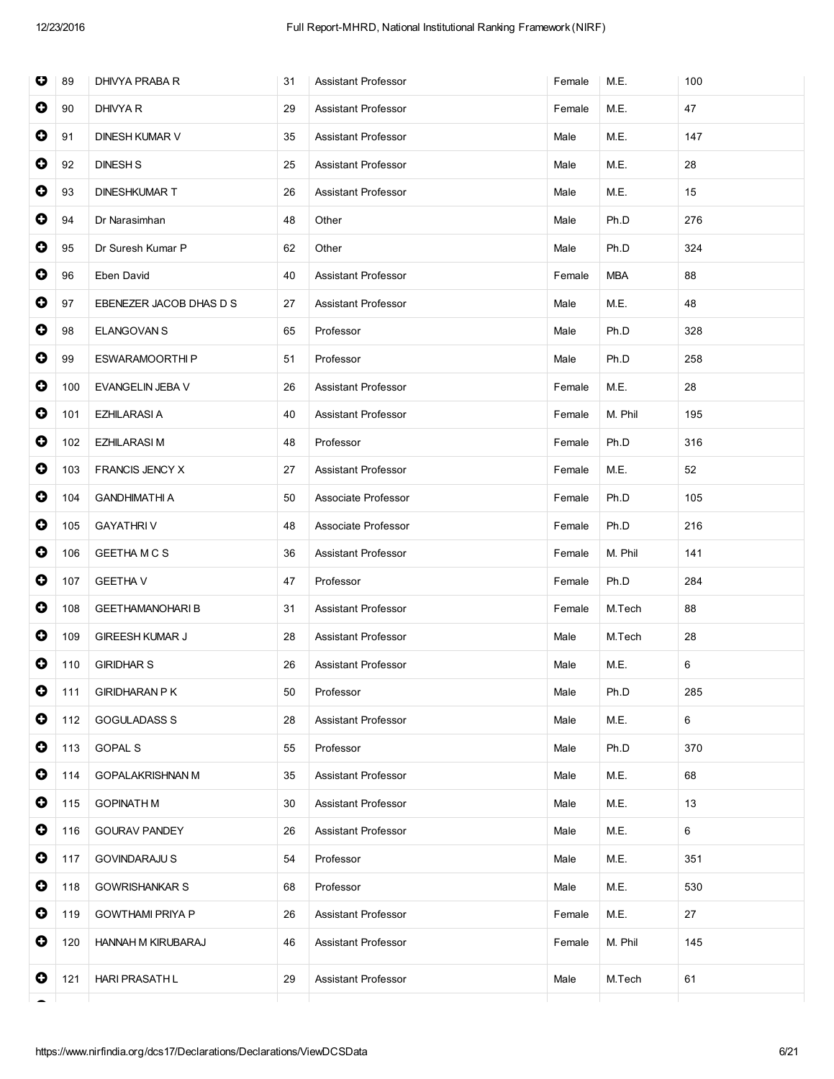| $\bullet$<br>90<br>DHIVYA R<br>29<br><b>Assistant Professor</b><br>M.E.<br>47<br>Female<br>$\bullet$<br>147<br>91<br><b>DINESH KUMAR V</b><br>M.E.<br>35<br>Assistant Professor<br>Male<br>$\bullet$<br>92<br><b>DINESH S</b><br>Assistant Professor<br>M.E.<br>28<br>25<br>Male<br>$\bullet$<br>93<br><b>DINESHKUMART</b><br>Assistant Professor<br>M.E.<br>15<br>26<br>Male<br>$\bullet$<br>94<br>Dr Narasimhan<br>48<br>Ph.D<br>276<br>Other<br>Male<br>$\bullet$<br>95<br>Dr Suresh Kumar P<br>Ph.D<br>324<br>62<br>Other<br>Male<br>0<br>96<br>Eben David<br><b>MBA</b><br>88<br>40<br>Assistant Professor<br>Female<br>$\bullet$<br>97<br>EBENEZER JACOB DHAS D S<br><b>Assistant Professor</b><br>Male<br>M.E.<br>48<br>27<br>$\bullet$<br>98<br>Ph.D<br>328<br>ELANGOVAN S<br>65<br>Professor<br>Male<br>$\bullet$<br>99<br><b>ESWARAMOORTHIP</b><br>51<br>Professor<br>Ph.D<br>258<br>Male<br>$\bullet$<br>M.E.<br>28<br>100<br>EVANGELIN JEBA V<br>26<br>Assistant Professor<br>Female<br>$\bullet$<br>101<br><b>EZHILARASI A</b><br>40<br>Assistant Professor<br>Female<br>M. Phil<br>195<br>$\bullet$<br>102<br>48<br>Professor<br>Ph.D<br>316<br><b>EZHILARASI M</b><br>Female<br>$\bullet$<br>FRANCIS JENCY X<br>M.E.<br>52<br>103<br>27<br>Assistant Professor<br>Female<br>$\bullet$<br>104<br><b>GANDHIMATHI A</b><br>Associate Professor<br>Ph.D<br>105<br>50<br>Female<br>$\bullet$<br>105<br><b>GAYATHRIV</b><br>Associate Professor<br>Ph.D<br>216<br>48<br>Female |  |
|-----------------------------------------------------------------------------------------------------------------------------------------------------------------------------------------------------------------------------------------------------------------------------------------------------------------------------------------------------------------------------------------------------------------------------------------------------------------------------------------------------------------------------------------------------------------------------------------------------------------------------------------------------------------------------------------------------------------------------------------------------------------------------------------------------------------------------------------------------------------------------------------------------------------------------------------------------------------------------------------------------------------------------------------------------------------------------------------------------------------------------------------------------------------------------------------------------------------------------------------------------------------------------------------------------------------------------------------------------------------------------------------------------------------------------------------------------------------------------------------|--|
|                                                                                                                                                                                                                                                                                                                                                                                                                                                                                                                                                                                                                                                                                                                                                                                                                                                                                                                                                                                                                                                                                                                                                                                                                                                                                                                                                                                                                                                                                         |  |
|                                                                                                                                                                                                                                                                                                                                                                                                                                                                                                                                                                                                                                                                                                                                                                                                                                                                                                                                                                                                                                                                                                                                                                                                                                                                                                                                                                                                                                                                                         |  |
|                                                                                                                                                                                                                                                                                                                                                                                                                                                                                                                                                                                                                                                                                                                                                                                                                                                                                                                                                                                                                                                                                                                                                                                                                                                                                                                                                                                                                                                                                         |  |
|                                                                                                                                                                                                                                                                                                                                                                                                                                                                                                                                                                                                                                                                                                                                                                                                                                                                                                                                                                                                                                                                                                                                                                                                                                                                                                                                                                                                                                                                                         |  |
|                                                                                                                                                                                                                                                                                                                                                                                                                                                                                                                                                                                                                                                                                                                                                                                                                                                                                                                                                                                                                                                                                                                                                                                                                                                                                                                                                                                                                                                                                         |  |
|                                                                                                                                                                                                                                                                                                                                                                                                                                                                                                                                                                                                                                                                                                                                                                                                                                                                                                                                                                                                                                                                                                                                                                                                                                                                                                                                                                                                                                                                                         |  |
|                                                                                                                                                                                                                                                                                                                                                                                                                                                                                                                                                                                                                                                                                                                                                                                                                                                                                                                                                                                                                                                                                                                                                                                                                                                                                                                                                                                                                                                                                         |  |
|                                                                                                                                                                                                                                                                                                                                                                                                                                                                                                                                                                                                                                                                                                                                                                                                                                                                                                                                                                                                                                                                                                                                                                                                                                                                                                                                                                                                                                                                                         |  |
|                                                                                                                                                                                                                                                                                                                                                                                                                                                                                                                                                                                                                                                                                                                                                                                                                                                                                                                                                                                                                                                                                                                                                                                                                                                                                                                                                                                                                                                                                         |  |
|                                                                                                                                                                                                                                                                                                                                                                                                                                                                                                                                                                                                                                                                                                                                                                                                                                                                                                                                                                                                                                                                                                                                                                                                                                                                                                                                                                                                                                                                                         |  |
|                                                                                                                                                                                                                                                                                                                                                                                                                                                                                                                                                                                                                                                                                                                                                                                                                                                                                                                                                                                                                                                                                                                                                                                                                                                                                                                                                                                                                                                                                         |  |
|                                                                                                                                                                                                                                                                                                                                                                                                                                                                                                                                                                                                                                                                                                                                                                                                                                                                                                                                                                                                                                                                                                                                                                                                                                                                                                                                                                                                                                                                                         |  |
|                                                                                                                                                                                                                                                                                                                                                                                                                                                                                                                                                                                                                                                                                                                                                                                                                                                                                                                                                                                                                                                                                                                                                                                                                                                                                                                                                                                                                                                                                         |  |
|                                                                                                                                                                                                                                                                                                                                                                                                                                                                                                                                                                                                                                                                                                                                                                                                                                                                                                                                                                                                                                                                                                                                                                                                                                                                                                                                                                                                                                                                                         |  |
|                                                                                                                                                                                                                                                                                                                                                                                                                                                                                                                                                                                                                                                                                                                                                                                                                                                                                                                                                                                                                                                                                                                                                                                                                                                                                                                                                                                                                                                                                         |  |
|                                                                                                                                                                                                                                                                                                                                                                                                                                                                                                                                                                                                                                                                                                                                                                                                                                                                                                                                                                                                                                                                                                                                                                                                                                                                                                                                                                                                                                                                                         |  |
| $\bullet$<br>106<br><b>GEETHAMCS</b><br>M. Phil<br>141<br>36<br>Assistant Professor<br>Female                                                                                                                                                                                                                                                                                                                                                                                                                                                                                                                                                                                                                                                                                                                                                                                                                                                                                                                                                                                                                                                                                                                                                                                                                                                                                                                                                                                           |  |
| 0<br>107<br><b>GEETHA V</b><br>Ph.D<br>284<br>47<br>Professor<br>Female                                                                                                                                                                                                                                                                                                                                                                                                                                                                                                                                                                                                                                                                                                                                                                                                                                                                                                                                                                                                                                                                                                                                                                                                                                                                                                                                                                                                                 |  |
| $\bullet$<br>108<br><b>GEETHAMANOHARIB</b><br>M.Tech<br>88<br>31<br>Assistant Professor<br>Female                                                                                                                                                                                                                                                                                                                                                                                                                                                                                                                                                                                                                                                                                                                                                                                                                                                                                                                                                                                                                                                                                                                                                                                                                                                                                                                                                                                       |  |
| $\bullet$<br>109<br><b>GIREESH KUMAR J</b><br>28<br>Assistant Professor<br>M.Tech<br>28<br>Male                                                                                                                                                                                                                                                                                                                                                                                                                                                                                                                                                                                                                                                                                                                                                                                                                                                                                                                                                                                                                                                                                                                                                                                                                                                                                                                                                                                         |  |
| $\bullet$<br>110<br><b>GIRIDHAR S</b><br>M.E.<br>6<br>26<br>Assistant Professor<br>Male                                                                                                                                                                                                                                                                                                                                                                                                                                                                                                                                                                                                                                                                                                                                                                                                                                                                                                                                                                                                                                                                                                                                                                                                                                                                                                                                                                                                 |  |
| $\bullet$<br>111<br><b>GIRIDHARAN P K</b><br>Ph.D<br>285<br>50<br>Professor<br>Male                                                                                                                                                                                                                                                                                                                                                                                                                                                                                                                                                                                                                                                                                                                                                                                                                                                                                                                                                                                                                                                                                                                                                                                                                                                                                                                                                                                                     |  |
| 0<br>112<br><b>GOGULADASS S</b><br>M.E.<br>6<br>28<br>Assistant Professor<br>Male                                                                                                                                                                                                                                                                                                                                                                                                                                                                                                                                                                                                                                                                                                                                                                                                                                                                                                                                                                                                                                                                                                                                                                                                                                                                                                                                                                                                       |  |
| 0<br><b>GOPAL S</b><br>113<br>55<br>Professor<br>Male<br>Ph.D<br>370                                                                                                                                                                                                                                                                                                                                                                                                                                                                                                                                                                                                                                                                                                                                                                                                                                                                                                                                                                                                                                                                                                                                                                                                                                                                                                                                                                                                                    |  |
| 0<br>114<br><b>GOPALAKRISHNAN M</b><br>M.E.<br>68<br>35<br><b>Assistant Professor</b><br>Male                                                                                                                                                                                                                                                                                                                                                                                                                                                                                                                                                                                                                                                                                                                                                                                                                                                                                                                                                                                                                                                                                                                                                                                                                                                                                                                                                                                           |  |
| 0<br>13<br>115<br><b>GOPINATH M</b><br>30<br>Assistant Professor<br>M.E.<br>Male                                                                                                                                                                                                                                                                                                                                                                                                                                                                                                                                                                                                                                                                                                                                                                                                                                                                                                                                                                                                                                                                                                                                                                                                                                                                                                                                                                                                        |  |
| 0<br>116<br><b>GOURAV PANDEY</b><br>26<br><b>Assistant Professor</b><br>M.E.<br>6<br>Male                                                                                                                                                                                                                                                                                                                                                                                                                                                                                                                                                                                                                                                                                                                                                                                                                                                                                                                                                                                                                                                                                                                                                                                                                                                                                                                                                                                               |  |
| 0<br>117<br><b>GOVINDARAJU S</b><br>Professor<br>M.E.<br>54<br>Male<br>351                                                                                                                                                                                                                                                                                                                                                                                                                                                                                                                                                                                                                                                                                                                                                                                                                                                                                                                                                                                                                                                                                                                                                                                                                                                                                                                                                                                                              |  |
| 0<br>118<br><b>GOWRISHANKAR S</b><br>Professor<br>M.E.<br>530<br>68<br>Male                                                                                                                                                                                                                                                                                                                                                                                                                                                                                                                                                                                                                                                                                                                                                                                                                                                                                                                                                                                                                                                                                                                                                                                                                                                                                                                                                                                                             |  |
| 0<br>119<br><b>GOWTHAMI PRIYA P</b><br>M.E.<br>27<br>26<br>Assistant Professor<br>Female                                                                                                                                                                                                                                                                                                                                                                                                                                                                                                                                                                                                                                                                                                                                                                                                                                                                                                                                                                                                                                                                                                                                                                                                                                                                                                                                                                                                |  |
| $\bullet$<br>120<br>HANNAH M KIRUBARAJ<br>46<br>Assistant Professor<br>M. Phil<br>145<br>Female                                                                                                                                                                                                                                                                                                                                                                                                                                                                                                                                                                                                                                                                                                                                                                                                                                                                                                                                                                                                                                                                                                                                                                                                                                                                                                                                                                                         |  |
| $\bullet$<br>61<br>121<br><b>HARI PRASATH L</b><br>29<br>Assistant Professor<br>Male<br>M.Tech                                                                                                                                                                                                                                                                                                                                                                                                                                                                                                                                                                                                                                                                                                                                                                                                                                                                                                                                                                                                                                                                                                                                                                                                                                                                                                                                                                                          |  |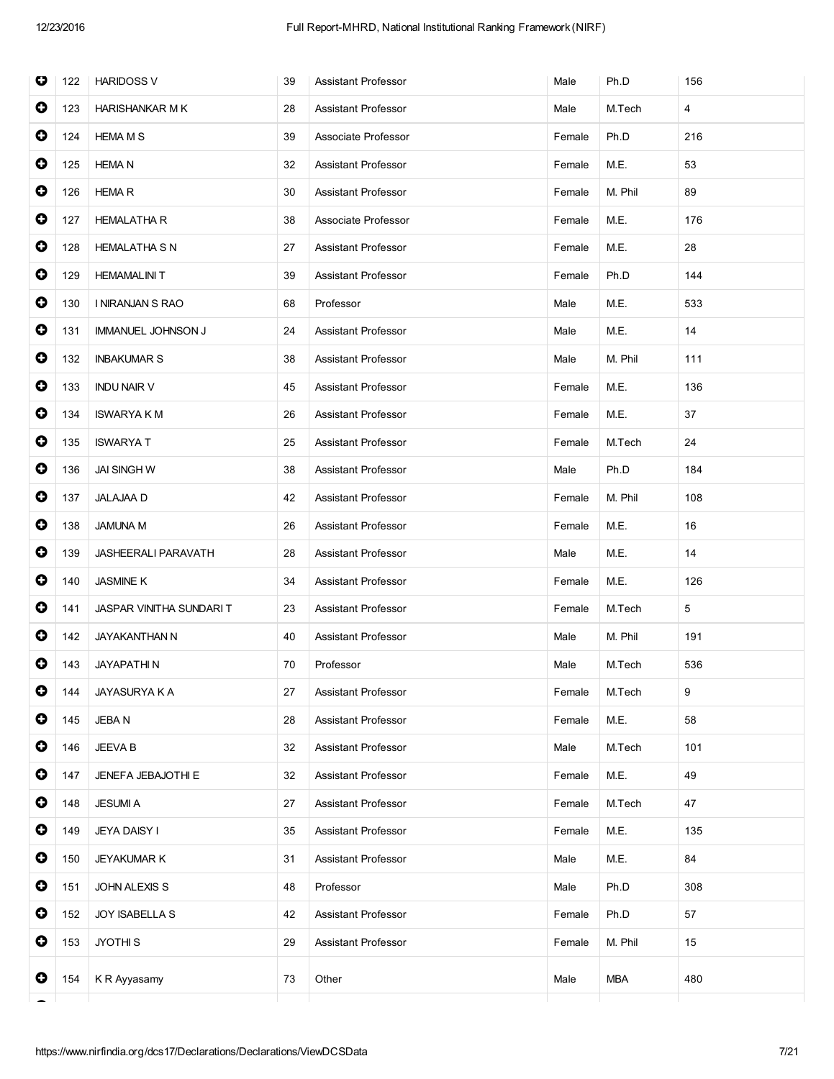| O         | 122 | <b>HARIDOSS V</b>          | 39 | <b>Assistant Professor</b> | Male   | Ph.D       | 156 |
|-----------|-----|----------------------------|----|----------------------------|--------|------------|-----|
| 0         | 123 | <b>HARISHANKAR M K</b>     | 28 | <b>Assistant Professor</b> | Male   | M.Tech     | 4   |
| $\bullet$ | 124 | <b>HEMA M S</b>            | 39 | Associate Professor        | Female | Ph.D       | 216 |
| $\bullet$ | 125 | <b>HEMA N</b>              | 32 | Assistant Professor        | Female | M.E.       | 53  |
| $\bullet$ | 126 | <b>HEMAR</b>               | 30 | Assistant Professor        | Female | M. Phil    | 89  |
| $\bullet$ | 127 | <b>HEMALATHA R</b>         | 38 | Associate Professor        | Female | M.E.       | 176 |
| $\bullet$ | 128 | <b>HEMALATHA S N</b>       | 27 | Assistant Professor        | Female | M.E.       | 28  |
| $\bullet$ | 129 | <b>HEMAMALINI T</b>        | 39 | Assistant Professor        | Female | Ph.D       | 144 |
| $\bullet$ | 130 | I NIRANJAN S RAO           | 68 | Professor                  | Male   | M.E.       | 533 |
| $\bullet$ | 131 | <b>IMMANUEL JOHNSON J</b>  | 24 | Assistant Professor        | Male   | M.E.       | 14  |
| $\bullet$ | 132 | <b>INBAKUMAR S</b>         | 38 | Assistant Professor        | Male   | M. Phil    | 111 |
| $\bullet$ | 133 | <b>INDU NAIR V</b>         | 45 | <b>Assistant Professor</b> | Female | M.E.       | 136 |
| $\bullet$ | 134 | <b>ISWARYA K M</b>         | 26 | Assistant Professor        | Female | M.E.       | 37  |
| $\bullet$ | 135 | <b>ISWARYAT</b>            | 25 | <b>Assistant Professor</b> | Female | M.Tech     | 24  |
| $\bullet$ | 136 | <b>JAI SINGH W</b>         | 38 | Assistant Professor        | Male   | Ph.D       | 184 |
| $\bullet$ | 137 | <b>JALAJAA D</b>           | 42 | Assistant Professor        | Female | M. Phil    | 108 |
| $\bullet$ | 138 | <b>JAMUNA M</b>            | 26 | Assistant Professor        | Female | M.E.       | 16  |
| $\bullet$ | 139 | <b>JASHEERALI PARAVATH</b> | 28 | Assistant Professor        | Male   | M.E.       | 14  |
| $\bullet$ | 140 | <b>JASMINE K</b>           | 34 | Assistant Professor        | Female | M.E.       | 126 |
| 0         | 141 | JASPAR VINITHA SUNDARI T   | 23 | Assistant Professor        | Female | M.Tech     | 5   |
| 0         | 142 | JAYAKANTHAN N              | 40 | <b>Assistant Professor</b> | Male   | M. Phil    | 191 |
| $\bullet$ | 143 | <b>JAYAPATHIN</b>          | 70 | Professor                  | Male   | M.Tech     | 536 |
| $\bullet$ | 144 | JAYASURYA K A              | 27 | Assistant Professor        | Female | M.Tech     | 9   |
| 0         | 145 | <b>JEBAN</b>               | 28 | <b>Assistant Professor</b> | Female | M.E.       | 58  |
| 0         | 146 | <b>JEEVA B</b>             | 32 | Assistant Professor        | Male   | M.Tech     | 101 |
| 0         | 147 | JENEFA JEBAJOTHI E         | 32 | Assistant Professor        | Female | M.E.       | 49  |
| $\bullet$ | 148 | <b>JESUMIA</b>             | 27 | Assistant Professor        | Female | M.Tech     | 47  |
| 0         | 149 | <b>JEYA DAISY I</b>        | 35 | Assistant Professor        | Female | M.E.       | 135 |
| $\bullet$ | 150 | <b>JEYAKUMAR K</b>         | 31 | Assistant Professor        | Male   | M.E.       | 84  |
| 0         | 151 | JOHN ALEXIS S              | 48 | Professor                  | Male   | Ph.D       | 308 |
| $\bullet$ | 152 | <b>JOY ISABELLA S</b>      | 42 | Assistant Professor        | Female | Ph.D       | 57  |
| $\bullet$ | 153 | JYOTHI <sub>S</sub>        | 29 | Assistant Professor        | Female | M. Phil    | 15  |
| 0         | 154 | K R Ayyasamy               | 73 | Other                      | Male   | <b>MBA</b> | 480 |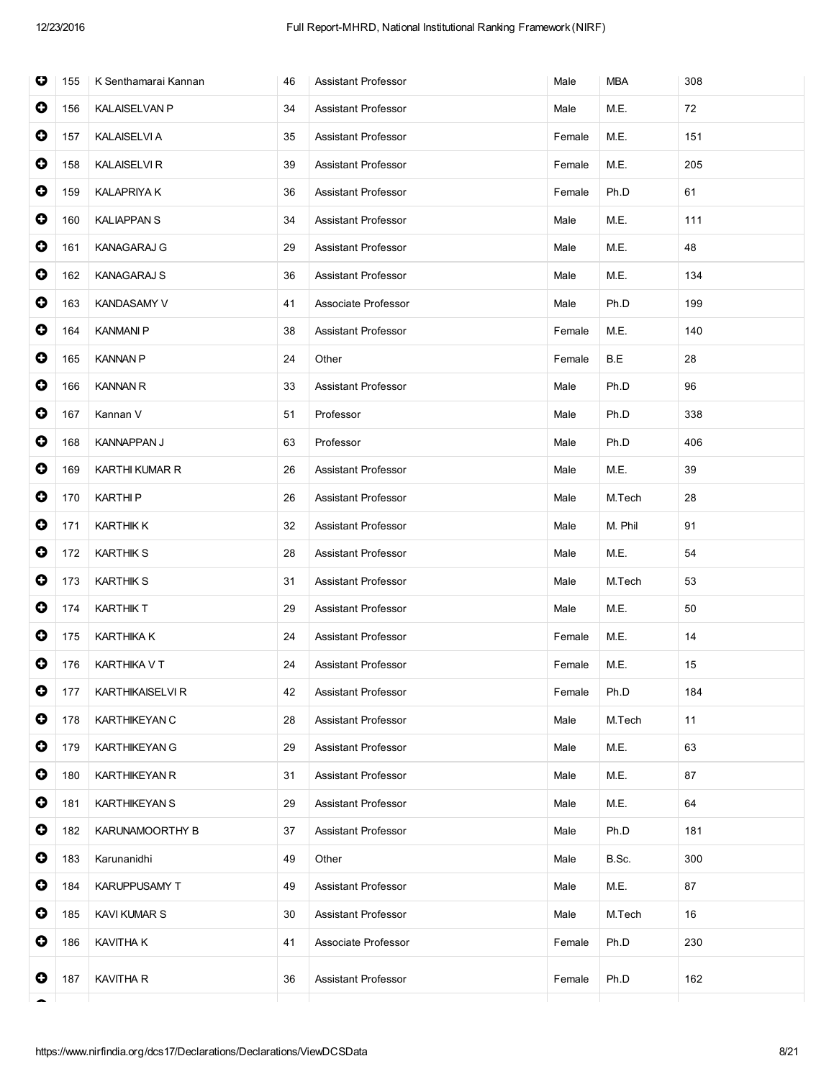| O         | 155 | K Senthamarai Kannan    | 46 | <b>Assistant Professor</b> | Male   | MBA     | 308 |
|-----------|-----|-------------------------|----|----------------------------|--------|---------|-----|
| $\bullet$ | 156 | <b>KALAISELVAN P</b>    | 34 | <b>Assistant Professor</b> | Male   | M.E.    | 72  |
| $\bullet$ | 157 | <b>KALAISELVI A</b>     | 35 | Assistant Professor        | Female | M.E.    | 151 |
| $\bullet$ | 158 | <b>KALAISELVI R</b>     | 39 | <b>Assistant Professor</b> | Female | M.E.    | 205 |
| $\bullet$ | 159 | <b>KALAPRIYA K</b>      | 36 | <b>Assistant Professor</b> | Female | Ph.D    | 61  |
| $\bullet$ | 160 | <b>KALIAPPANS</b>       | 34 | <b>Assistant Professor</b> | Male   | M.E.    | 111 |
| $\bullet$ | 161 | <b>KANAGARAJ G</b>      | 29 | <b>Assistant Professor</b> | Male   | M.E.    | 48  |
| $\bullet$ | 162 | <b>KANAGARAJ S</b>      | 36 | <b>Assistant Professor</b> | Male   | M.E.    | 134 |
| $\bullet$ | 163 | <b>KANDASAMY V</b>      | 41 | Associate Professor        | Male   | Ph.D    | 199 |
| $\bullet$ | 164 | <b>KANMANI P</b>        | 38 | <b>Assistant Professor</b> | Female | M.E.    | 140 |
| $\bullet$ | 165 | <b>KANNAN P</b>         | 24 | Other                      | Female | B.E     | 28  |
| $\bullet$ | 166 | <b>KANNAN R</b>         | 33 | Assistant Professor        | Male   | Ph.D    | 96  |
| 0         | 167 | Kannan V                | 51 | Professor                  | Male   | Ph.D    | 338 |
| $\bullet$ | 168 | <b>KANNAPPAN J</b>      | 63 | Professor                  | Male   | Ph.D    | 406 |
| $\bullet$ | 169 | KARTHI KUMAR R          | 26 | <b>Assistant Professor</b> | Male   | M.E.    | 39  |
| $\bullet$ | 170 | <b>KARTHIP</b>          | 26 | <b>Assistant Professor</b> | Male   | M.Tech  | 28  |
| $\bullet$ | 171 | <b>KARTHIK K</b>        | 32 | Assistant Professor        | Male   | M. Phil | 91  |
| 0         | 172 | <b>KARTHIK S</b>        | 28 | <b>Assistant Professor</b> | Male   | M.E.    | 54  |
| $\bullet$ | 173 | <b>KARTHIK S</b>        | 31 | <b>Assistant Professor</b> | Male   | M.Tech  | 53  |
| $\bullet$ | 174 | <b>KARTHIK T</b>        | 29 | <b>Assistant Professor</b> | Male   | M.E.    | 50  |
| $\bullet$ | 175 | KARTHIKA K              | 24 | <b>Assistant Professor</b> | Female | M.E.    | 14  |
| 0         | 176 | KARTHIKA V T            | 24 | Assistant Professor        | Female | M.E.    | 15  |
| $\bullet$ | 177 | <b>KARTHIKAISELVI R</b> | 42 | <b>Assistant Professor</b> | Female | Ph.D    | 184 |
| $\bullet$ | 178 | KARTHIKEYAN C           | 28 | <b>Assistant Professor</b> | Male   | M.Tech  | 11  |
| $\bullet$ | 179 | <b>KARTHIKEYAN G</b>    | 29 | Assistant Professor        | Male   | M.E.    | 63  |
| $\bullet$ | 180 | <b>KARTHIKEYAN R</b>    | 31 | <b>Assistant Professor</b> | Male   | M.E.    | 87  |
| $\bullet$ | 181 | <b>KARTHIKEYAN S</b>    | 29 | Assistant Professor        | Male   | M.E.    | 64  |
| $\bullet$ | 182 | KARUNAMOORTHY B         | 37 | <b>Assistant Professor</b> | Male   | Ph.D    | 181 |
| 0         | 183 | Karunanidhi             | 49 | Other                      | Male   | B.Sc.   | 300 |
| $\bullet$ | 184 | KARUPPUSAMY T           | 49 | <b>Assistant Professor</b> | Male   | M.E.    | 87  |
| $\bullet$ | 185 | <b>KAVI KUMAR S</b>     | 30 | Assistant Professor        | Male   | M.Tech  | 16  |
| 0         | 186 | <b>KAVITHA K</b>        | 41 | Associate Professor        | Female | Ph.D    | 230 |
| 0         | 187 | <b>KAVITHA R</b>        | 36 | <b>Assistant Professor</b> | Female | Ph.D    | 162 |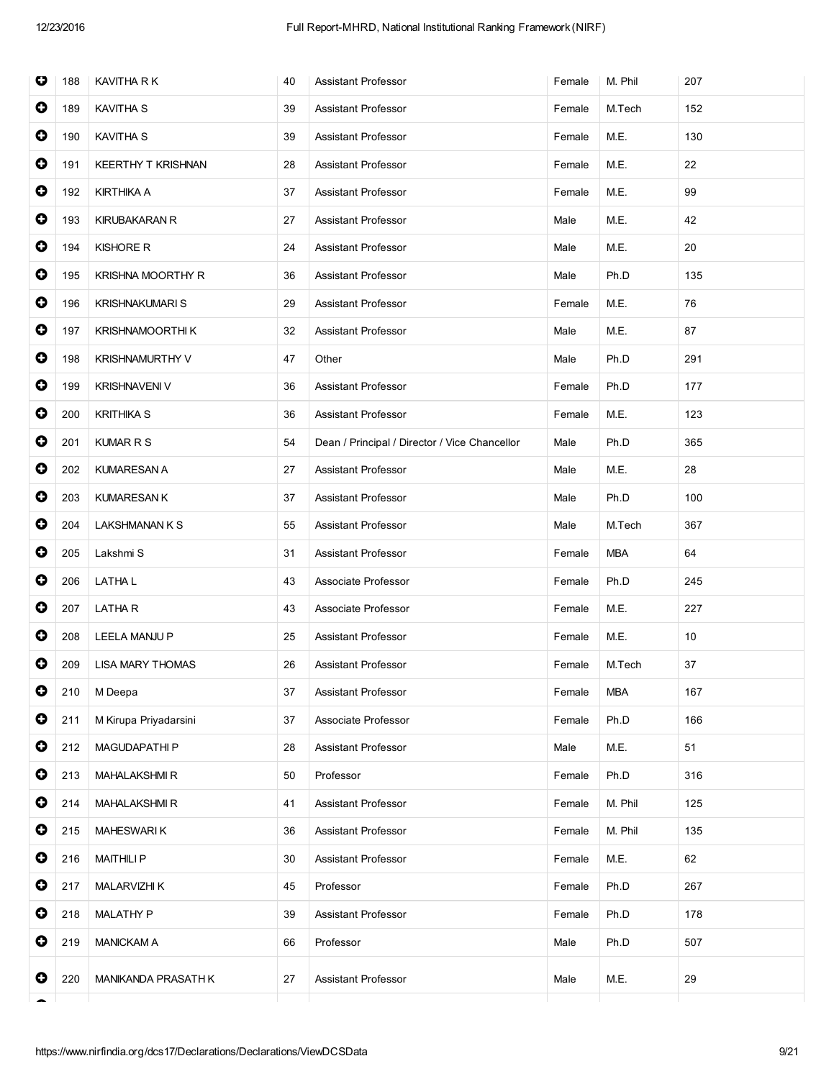| O         | 188 | KAVITHA R K               | 40 | <b>Assistant Professor</b>                    | Female | M. Phil    | 207 |
|-----------|-----|---------------------------|----|-----------------------------------------------|--------|------------|-----|
| $\bullet$ | 189 | <b>KAVITHA S</b>          | 39 | <b>Assistant Professor</b>                    | Female | M.Tech     | 152 |
| $\bullet$ | 190 | KAVITHA S                 | 39 | Assistant Professor                           | Female | M.E.       | 130 |
| $\bullet$ | 191 | <b>KEERTHY T KRISHNAN</b> | 28 | <b>Assistant Professor</b>                    | Female | M.E.       | 22  |
| $\bullet$ | 192 | <b>KIRTHIKA A</b>         | 37 | <b>Assistant Professor</b>                    | Female | M.E.       | 99  |
| $\bullet$ | 193 | <b>KIRUBAKARAN R</b>      | 27 | <b>Assistant Professor</b>                    | Male   | M.E.       | 42  |
| $\bullet$ | 194 | <b>KISHORE R</b>          | 24 | <b>Assistant Professor</b>                    | Male   | M.E.       | 20  |
| $\bullet$ | 195 | KRISHNA MOORTHY R         | 36 | Assistant Professor                           | Male   | Ph.D       | 135 |
| $\bullet$ | 196 | <b>KRISHNAKUMARI S</b>    | 29 | <b>Assistant Professor</b>                    | Female | M.E.       | 76  |
| $\bullet$ | 197 | KRISHNAMOORTHI K          | 32 | <b>Assistant Professor</b>                    | Male   | M.E.       | 87  |
| $\bullet$ | 198 | <b>KRISHNAMURTHY V</b>    | 47 | Other                                         | Male   | Ph.D       | 291 |
| $\bullet$ | 199 | <b>KRISHNAVENI V</b>      | 36 | Assistant Professor                           | Female | Ph.D       | 177 |
| $\bullet$ | 200 | <b>KRITHIKA S</b>         | 36 | <b>Assistant Professor</b>                    | Female | M.E.       | 123 |
| $\bullet$ | 201 | KUMAR R S                 | 54 | Dean / Principal / Director / Vice Chancellor | Male   | Ph.D       | 365 |
| $\bullet$ | 202 | <b>KUMARESAN A</b>        | 27 | <b>Assistant Professor</b>                    | Male   | M.E.       | 28  |
| $\bullet$ | 203 | <b>KUMARESAN K</b>        | 37 | <b>Assistant Professor</b>                    | Male   | Ph.D       | 100 |
| $\bullet$ | 204 | LAKSHMANAN K S            | 55 | <b>Assistant Professor</b>                    | Male   | M.Tech     | 367 |
| $\bullet$ | 205 | Lakshmi S                 | 31 | Assistant Professor                           | Female | <b>MBA</b> | 64  |
| $\bullet$ | 206 | LATHA L                   | 43 | Associate Professor                           | Female | Ph.D       | 245 |
| $\bullet$ | 207 | LATHA R                   | 43 | Associate Professor                           | Female | M.E.       | 227 |
| $\bullet$ | 208 | LEELA MANJU P             | 25 | Assistant Professor                           | Female | M.E.       | 10  |
| $\bullet$ | 209 | <b>LISA MARY THOMAS</b>   | 26 | <b>Assistant Professor</b>                    | Female | M.Tech     | 37  |
| $\bullet$ | 210 | M Deepa                   | 37 | Assistant Professor                           | Female | <b>MBA</b> | 167 |
| $\bullet$ | 211 | M Kirupa Priyadarsini     | 37 | Associate Professor                           | Female | Ph.D       | 166 |
| $\bullet$ | 212 | MAGUDAPATHI P             | 28 | <b>Assistant Professor</b>                    | Male   | M.E.       | 51  |
| $\bullet$ | 213 | <b>MAHALAKSHMIR</b>       | 50 | Professor                                     | Female | Ph.D       | 316 |
| $\bullet$ | 214 | <b>MAHALAKSHMIR</b>       | 41 | Assistant Professor                           | Female | M. Phil    | 125 |
| $\bullet$ | 215 | <b>MAHESWARIK</b>         | 36 | <b>Assistant Professor</b>                    | Female | M. Phil    | 135 |
| $\bullet$ | 216 | <b>MAITHILIP</b>          | 30 | <b>Assistant Professor</b>                    | Female | M.E.       | 62  |
| $\bullet$ | 217 | <b>MALARVIZHI K</b>       | 45 | Professor                                     | Female | Ph.D       | 267 |
| $\bullet$ | 218 | <b>MALATHY P</b>          | 39 | Assistant Professor                           | Female | Ph.D       | 178 |
| $\bullet$ | 219 | <b>MANICKAM A</b>         | 66 | Professor                                     | Male   | Ph.D       | 507 |
| 0         | 220 | MANIKANDA PRASATH K       | 27 | Assistant Professor                           | Male   | M.E.       | 29  |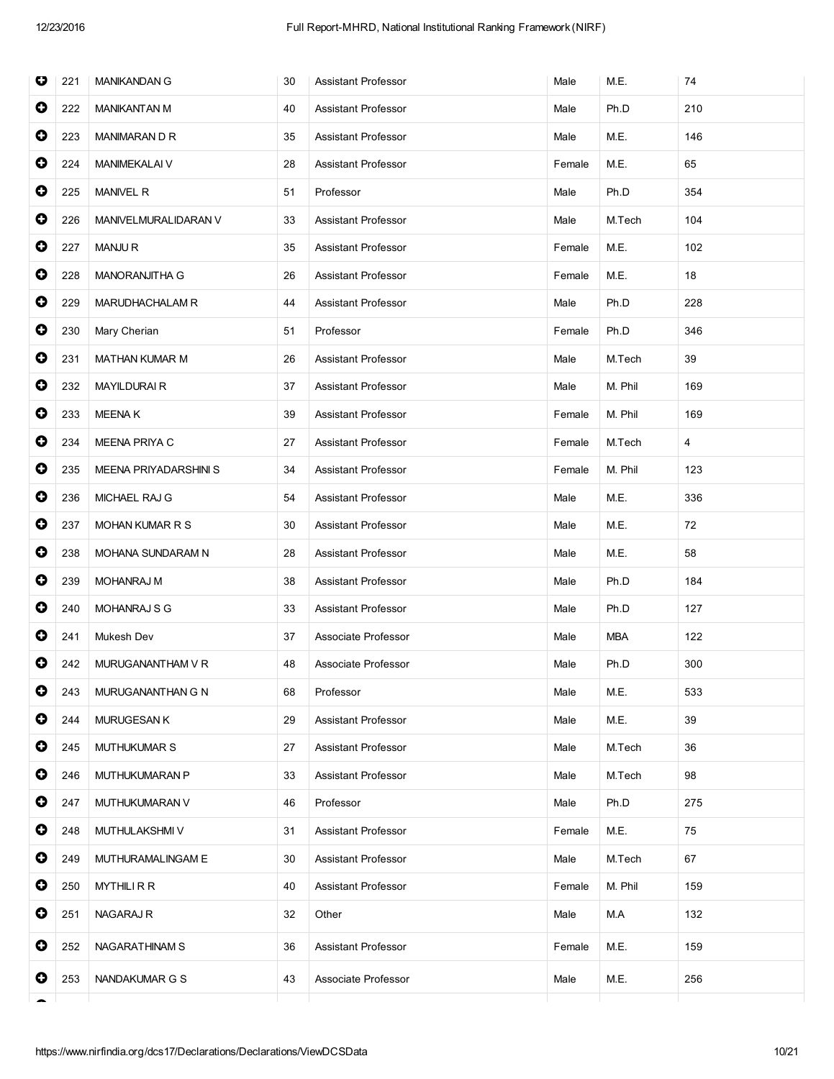| O         | 221 | <b>MANIKANDAN G</b>   | 30 | <b>Assistant Professor</b> | Male   | M.E.       | 74  |
|-----------|-----|-----------------------|----|----------------------------|--------|------------|-----|
| $\bullet$ | 222 | <b>MANIKANTAN M</b>   | 40 | <b>Assistant Professor</b> | Male   | Ph.D       | 210 |
| $\bullet$ | 223 | MANIMARAN D R         | 35 | <b>Assistant Professor</b> | Male   | M.E.       | 146 |
| 0         | 224 | MANIMEKALAI V         | 28 | <b>Assistant Professor</b> | Female | M.E.       | 65  |
| 0         | 225 | <b>MANIVEL R</b>      | 51 | Professor                  | Male   | Ph.D       | 354 |
| $\bullet$ | 226 | MANIVELMURALIDARAN V  | 33 | <b>Assistant Professor</b> | Male   | M.Tech     | 104 |
| $\bullet$ | 227 | <b>MANJUR</b>         | 35 | Assistant Professor        | Female | M.E.       | 102 |
| $\bullet$ | 228 | MANORANJITHA G        | 26 | <b>Assistant Professor</b> | Female | M.E.       | 18  |
| 0         | 229 | MARUDHACHALAM R       | 44 | <b>Assistant Professor</b> | Male   | Ph.D       | 228 |
| 0         | 230 | Mary Cherian          | 51 | Professor                  | Female | Ph.D       | 346 |
| $\bullet$ | 231 | <b>MATHAN KUMAR M</b> | 26 | Assistant Professor        | Male   | M.Tech     | 39  |
| $\bullet$ | 232 | <b>MAYILDURAIR</b>    | 37 | Assistant Professor        | Male   | M. Phil    | 169 |
| $\bullet$ | 233 | <b>MEENAK</b>         | 39 | <b>Assistant Professor</b> | Female | M. Phil    | 169 |
| 0         | 234 | MEENA PRIYA C         | 27 | Assistant Professor        | Female | M.Tech     | 4   |
| $\bullet$ | 235 | MEENA PRIYADARSHINI S | 34 | <b>Assistant Professor</b> | Female | M. Phil    | 123 |
| $\bullet$ | 236 | MICHAEL RAJ G         | 54 | Assistant Professor        | Male   | M.E.       | 336 |
| $\bullet$ | 237 | MOHAN KUMAR R S       | 30 | Assistant Professor        | Male   | M.E.       | 72  |
| $\bullet$ | 238 | MOHANA SUNDARAM N     | 28 | Assistant Professor        | Male   | M.E.       | 58  |
| 0         | 239 | MOHANRAJ M            | 38 | Assistant Professor        | Male   | Ph.D       | 184 |
| $\bullet$ | 240 | MOHANRAJ S G          | 33 | Assistant Professor        | Male   | Ph.D       | 127 |
| 0         | 241 | Mukesh Dev            | 37 | Associate Professor        | Male   | <b>MBA</b> | 122 |
| 0         | 242 | MURUGANANTHAM V R     | 48 | Associate Professor        | Male   | Ph.D       | 300 |
| $\bullet$ | 243 | MURUGANANTHAN G N     | 68 | Professor                  | Male   | M.E.       | 533 |
| 0         | 244 | <b>MURUGESAN K</b>    | 29 | Assistant Professor        | Male   | M.E.       | 39  |
| 0         | 245 | <b>MUTHUKUMAR S</b>   | 27 | <b>Assistant Professor</b> | Male   | M.Tech     | 36  |
| 0         | 246 | MUTHUKUMARAN P        | 33 | Assistant Professor        | Male   | M.Tech     | 98  |
| 0         | 247 | MUTHUKUMARAN V        | 46 | Professor                  | Male   | Ph.D       | 275 |
| 0         | 248 | MUTHULAKSHMI V        | 31 | Assistant Professor        | Female | M.E.       | 75  |
| 0         | 249 | MUTHURAMALINGAM E     | 30 | Assistant Professor        | Male   | M.Tech     | 67  |
| 0         | 250 | <b>MYTHILIRR</b>      | 40 | Assistant Professor        | Female | M. Phil    | 159 |
| 0         | 251 | NAGARAJ R             | 32 | Other                      | Male   | M.A        | 132 |
| 0         | 252 | NAGARATHINAM S        | 36 | Assistant Professor        | Female | M.E.       | 159 |
| 0         | 253 | NANDAKUMAR G S        | 43 | Associate Professor        | Male   | M.E.       | 256 |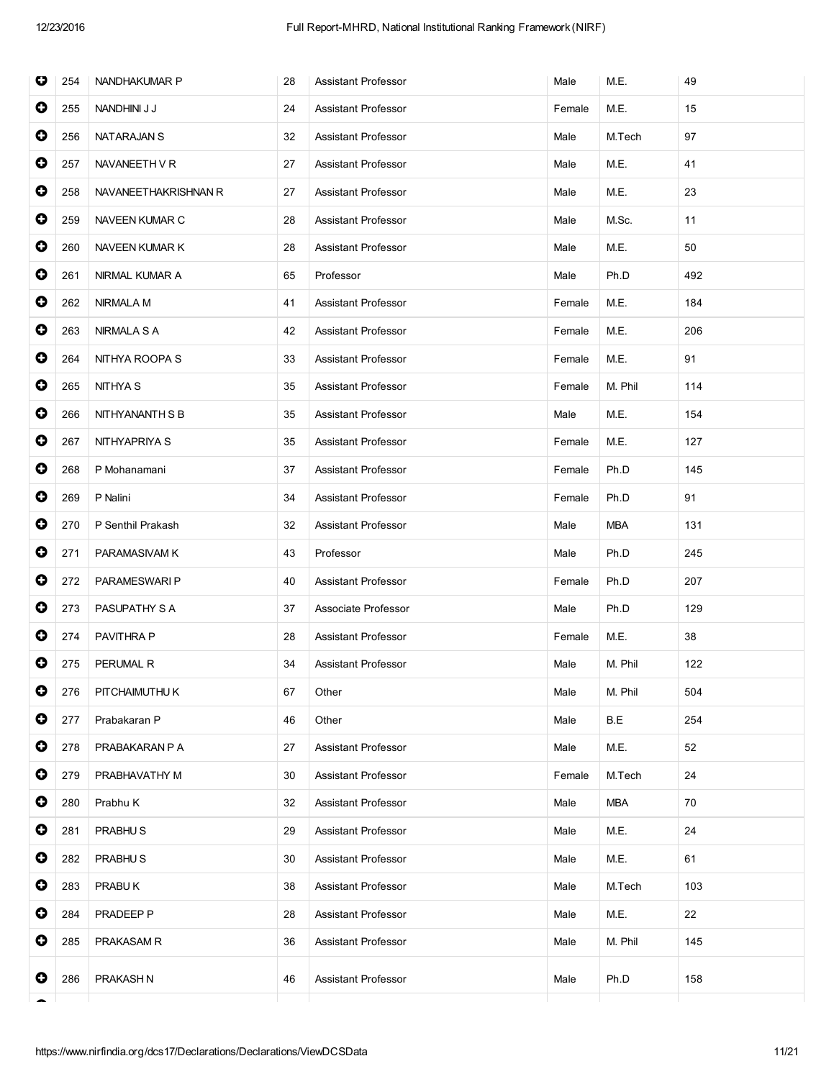| O         | 254 | NANDHAKUMAR P        | 28 | <b>Assistant Professor</b> | Male   | M.E.       | 49  |
|-----------|-----|----------------------|----|----------------------------|--------|------------|-----|
| $\bullet$ | 255 | NANDHINI J J         | 24 | <b>Assistant Professor</b> | Female | M.E.       | 15  |
| $\bullet$ | 256 | NATARAJAN S          | 32 | <b>Assistant Professor</b> | Male   | M.Tech     | 97  |
| 0         | 257 | NAVANEETH VR         | 27 | Assistant Professor        | Male   | M.E.       | 41  |
| $\bullet$ | 258 | NAVANEETHAKRISHNAN R | 27 | <b>Assistant Professor</b> | Male   | M.E.       | 23  |
| $\bullet$ | 259 | NAVEEN KUMAR C       | 28 | <b>Assistant Professor</b> | Male   | M.Sc.      | 11  |
| $\bullet$ | 260 | NAVEEN KUMAR K       | 28 | <b>Assistant Professor</b> | Male   | M.E.       | 50  |
| $\bullet$ | 261 | NIRMAL KUMAR A       | 65 | Professor                  | Male   | Ph.D       | 492 |
| 0         | 262 | NIRMALA M            | 41 | Assistant Professor        | Female | M.E.       | 184 |
| $\bullet$ | 263 | NIRMALA S A          | 42 | <b>Assistant Professor</b> | Female | M.E.       | 206 |
| $\bullet$ | 264 | NITHYA ROOPA S       | 33 | <b>Assistant Professor</b> | Female | M.E.       | 91  |
| $\bullet$ | 265 | NITHYA S             | 35 | Assistant Professor        | Female | M. Phil    | 114 |
| $\bullet$ | 266 | NITHYANANTH S B      | 35 | Assistant Professor        | Male   | M.E.       | 154 |
| $\bullet$ | 267 | NITHYAPRIYA S        | 35 | Assistant Professor        | Female | M.E.       | 127 |
| $\bullet$ | 268 | P Mohanamani         | 37 | <b>Assistant Professor</b> | Female | Ph.D       | 145 |
| $\bullet$ | 269 | P Nalini             | 34 | <b>Assistant Professor</b> | Female | Ph.D       | 91  |
| $\bullet$ | 270 | P Senthil Prakash    | 32 | Assistant Professor        | Male   | <b>MBA</b> | 131 |
| 0         | 271 | PARAMASIVAM K        | 43 | Professor                  | Male   | Ph.D       | 245 |
| $\bullet$ | 272 | PARAMESWARI P        | 40 | <b>Assistant Professor</b> | Female | Ph.D       | 207 |
| $\bullet$ | 273 | PASUPATHY S A        | 37 | Associate Professor        | Male   | Ph.D       | 129 |
| 0         | 274 | PAVITHRA P           | 28 | <b>Assistant Professor</b> | Female | M.E.       | 38  |
| 0         | 275 | PERUMAL R            | 34 | Assistant Professor        | Male   | M. Phil    | 122 |
| $\bullet$ | 276 | PITCHAIMUTHU K       | 67 | Other                      | Male   | M. Phil    | 504 |
| $\bullet$ | 277 | Prabakaran P         | 46 | Other                      | Male   | B.E        | 254 |
| $\bullet$ | 278 | PRABAKARAN P A       | 27 | Assistant Professor        | Male   | M.E.       | 52  |
| 0         | 279 | PRABHAVATHY M        | 30 | <b>Assistant Professor</b> | Female | M.Tech     | 24  |
| $\bullet$ | 280 | Prabhu K             | 32 | Assistant Professor        | Male   | <b>MBA</b> | 70  |
| $\bullet$ | 281 | PRABHU <sub>S</sub>  | 29 | <b>Assistant Professor</b> | Male   | M.E.       | 24  |
| $\bullet$ | 282 | PRABHU <sub>S</sub>  | 30 | Assistant Professor        | Male   | M.E.       | 61  |
| $\bullet$ | 283 | PRABUK               | 38 | Assistant Professor        | Male   | M.Tech     | 103 |
| $\bullet$ | 284 | PRADEEP P            | 28 | Assistant Professor        | Male   | M.E.       | 22  |
| 0         | 285 | PRAKASAM R           | 36 | Assistant Professor        | Male   | M. Phil    | 145 |
| 0         | 286 | PRAKASH N            | 46 | Assistant Professor        | Male   | Ph.D       | 158 |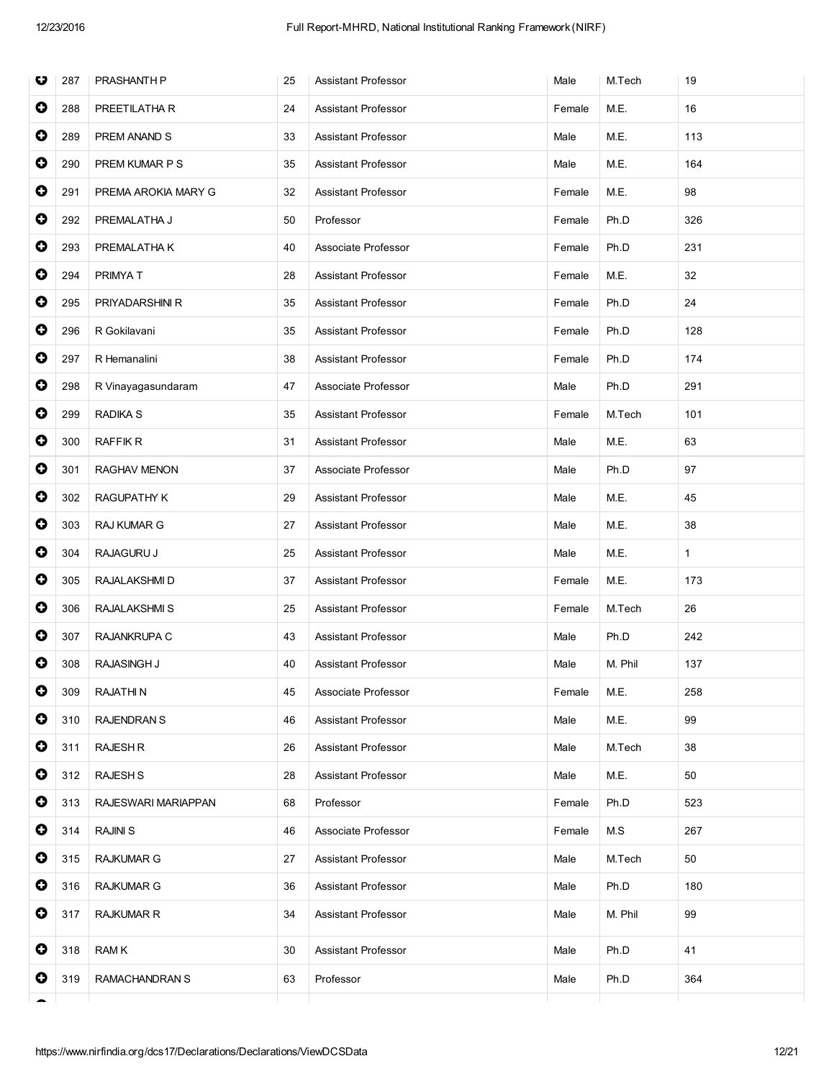| O         | 287 | PRASHANTH P         | 25 | <b>Assistant Professor</b> | Male   | M.Tech  | 19           |
|-----------|-----|---------------------|----|----------------------------|--------|---------|--------------|
| $\bullet$ | 288 | PREETILATHA R       | 24 | <b>Assistant Professor</b> | Female | M.E.    | 16           |
| $\bullet$ | 289 | PREM ANAND S        | 33 | <b>Assistant Professor</b> | Male   | M.E.    | 113          |
| 0         | 290 | PREM KUMAR P S      | 35 | Assistant Professor        | Male   | M.E.    | 164          |
| $\bullet$ | 291 | PREMA AROKIA MARY G | 32 | <b>Assistant Professor</b> | Female | M.E.    | 98           |
| $\bullet$ | 292 | PREMALATHA J        | 50 | Professor                  | Female | Ph.D    | 326          |
| $\bullet$ | 293 | PREMALATHA K        | 40 | Associate Professor        | Female | Ph.D    | 231          |
| $\bullet$ | 294 | PRIMYA T            | 28 | <b>Assistant Professor</b> | Female | M.E.    | 32           |
| 0         | 295 | PRIYADARSHINI R     | 35 | <b>Assistant Professor</b> | Female | Ph.D    | 24           |
| 0         | 296 | R Gokilavani        | 35 | <b>Assistant Professor</b> | Female | Ph.D    | 128          |
| $\bullet$ | 297 | R Hemanalini        | 38 | <b>Assistant Professor</b> | Female | Ph.D    | 174          |
| $\bullet$ | 298 | R Vinayagasundaram  | 47 | Associate Professor        | Male   | Ph.D    | 291          |
| $\bullet$ | 299 | RADIKA S            | 35 | Assistant Professor        | Female | M.Tech  | 101          |
| 0         | 300 | <b>RAFFIK R</b>     | 31 | Assistant Professor        | Male   | M.E.    | 63           |
| $\bullet$ | 301 | RAGHAV MENON        | 37 | Associate Professor        | Male   | Ph.D    | 97           |
| $\bullet$ | 302 | RAGUPATHY K         | 29 | <b>Assistant Professor</b> | Male   | M.E.    | 45           |
| $\bullet$ | 303 | RAJ KUMAR G         | 27 | Assistant Professor        | Male   | M.E.    | 38           |
| $\bullet$ | 304 | RAJAGURU J          | 25 | <b>Assistant Professor</b> | Male   | M.E.    | $\mathbf{1}$ |
| 0         | 305 | RAJALAKSHMI D       | 37 | <b>Assistant Professor</b> | Female | M.E.    | 173          |
| $\bullet$ | 306 | RAJALAKSHMI S       | 25 | Assistant Professor        | Female | M.Tech  | 26           |
| 0         | 307 | RAJANKRUPA C        | 43 | <b>Assistant Professor</b> | Male   | Ph.D    | 242          |
| 0         | 308 | RAJASINGH J         | 40 | Assistant Professor        | Male   | M. Phil | 137          |
| $\bullet$ | 309 | <b>RAJATHIN</b>     | 45 | Associate Professor        | Female | M.E.    | 258          |
| 0         | 310 | <b>RAJENDRAN S</b>  | 46 | <b>Assistant Professor</b> | Male   | M.E.    | 99           |
| 0         | 311 | <b>RAJESH R</b>     | 26 | Assistant Professor        | Male   | M.Tech  | 38           |
| 0         | 312 | <b>RAJESH S</b>     | 28 | Assistant Professor        | Male   | M.E.    | 50           |
| 0         | 313 | RAJESWARI MARIAPPAN | 68 | Professor                  | Female | Ph.D    | 523          |
| 0         | 314 | <b>RAJINI S</b>     | 46 | Associate Professor        | Female | M.S     | 267          |
| 0         | 315 | <b>RAJKUMAR G</b>   | 27 | <b>Assistant Professor</b> | Male   | M.Tech  | 50           |
| 0         | 316 | <b>RAJKUMAR G</b>   | 36 | Assistant Professor        | Male   | Ph.D    | 180          |
| 0         | 317 | RAJKUMAR R          | 34 | Assistant Professor        | Male   | M. Phil | 99           |
| 0         | 318 | RAM K               | 30 | Assistant Professor        | Male   | Ph.D    | 41           |
| 0         | 319 | RAMACHANDRAN S      | 63 | Professor                  | Male   | Ph.D    | 364          |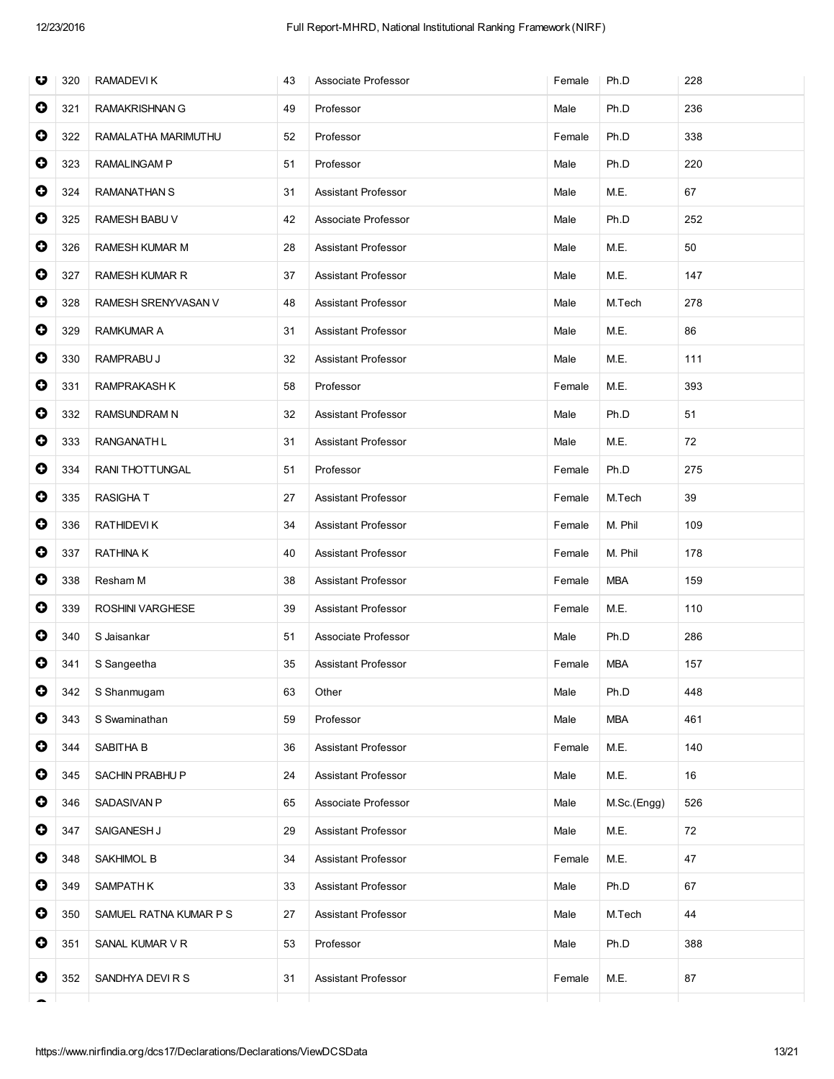| O         | 320 | RAMADEVI K              | 43 | Associate Professor        | Female | Ph.D        | 228 |
|-----------|-----|-------------------------|----|----------------------------|--------|-------------|-----|
| $\bullet$ | 321 | <b>RAMAKRISHNAN G</b>   | 49 | Professor                  | Male   | Ph.D        | 236 |
| $\bullet$ | 322 | RAMALATHA MARIMUTHU     | 52 | Professor                  | Female | Ph.D        | 338 |
| 0         | 323 | <b>RAMALINGAM P</b>     | 51 | Professor                  | Male   | Ph.D        | 220 |
| $\bullet$ | 324 | <b>RAMANATHAN S</b>     | 31 | <b>Assistant Professor</b> | Male   | M.E.        | 67  |
| $\bullet$ | 325 | RAMESH BABU V           | 42 | Associate Professor        | Male   | Ph.D        | 252 |
| $\bullet$ | 326 | RAMESH KUMAR M          | 28 | <b>Assistant Professor</b> | Male   | M.E.        | 50  |
| $\bullet$ | 327 | <b>RAMESH KUMAR R</b>   | 37 | <b>Assistant Professor</b> | Male   | M.E.        | 147 |
| 0         | 328 | RAMESH SRENYVASAN V     | 48 | <b>Assistant Professor</b> | Male   | M.Tech      | 278 |
| $\bullet$ | 329 | <b>RAMKUMAR A</b>       | 31 | <b>Assistant Professor</b> | Male   | M.E.        | 86  |
| $\bullet$ | 330 | RAMPRABU J              | 32 | <b>Assistant Professor</b> | Male   | M.E.        | 111 |
| $\bullet$ | 331 | RAMPRAKASH K            | 58 | Professor                  | Female | M.E.        | 393 |
| $\bullet$ | 332 | <b>RAMSUNDRAM N</b>     | 32 | <b>Assistant Professor</b> | Male   | Ph.D        | 51  |
| 0         | 333 | RANGANATH L             | 31 | <b>Assistant Professor</b> | Male   | M.E.        | 72  |
| $\bullet$ | 334 | RANI THOTTUNGAL         | 51 | Professor                  | Female | Ph.D        | 275 |
| $\bullet$ | 335 | <b>RASIGHAT</b>         | 27 | <b>Assistant Professor</b> | Female | M.Tech      | 39  |
| $\bullet$ | 336 | <b>RATHIDEVIK</b>       | 34 | Assistant Professor        | Female | M. Phil     | 109 |
| 0         | 337 | <b>RATHINAK</b>         | 40 | <b>Assistant Professor</b> | Female | M. Phil     | 178 |
| $\bullet$ | 338 | Resham M                | 38 | <b>Assistant Professor</b> | Female | <b>MBA</b>  | 159 |
| $\bullet$ | 339 | <b>ROSHINI VARGHESE</b> | 39 | <b>Assistant Professor</b> | Female | M.E.        | 110 |
| 0         | 340 | S Jaisankar             | 51 | Associate Professor        | Male   | Ph.D        | 286 |
| 0         | 341 | S Sangeetha             | 35 | <b>Assistant Professor</b> | Female | <b>MBA</b>  | 157 |
| $\bullet$ | 342 | S Shanmugam             | 63 | Other                      | Male   | Ph.D        | 448 |
| 0         | 343 | S Swaminathan           | 59 | Professor                  | Male   | <b>MBA</b>  | 461 |
| $\bullet$ | 344 | SABITHA B               | 36 | <b>Assistant Professor</b> | Female | M.E.        | 140 |
| $\bullet$ | 345 | SACHIN PRABHU P         | 24 | <b>Assistant Professor</b> | Male   | M.E.        | 16  |
| 0         | 346 | SADASIVAN P             | 65 | Associate Professor        | Male   | M.Sc.(Engg) | 526 |
| 0         | 347 | SAIGANESH J             | 29 | Assistant Professor        | Male   | M.E.        | 72  |
| $\bullet$ | 348 | SAKHIMOL B              | 34 | Assistant Professor        | Female | M.E.        | 47  |
| $\bullet$ | 349 | SAMPATH K               | 33 | Assistant Professor        | Male   | Ph.D        | 67  |
| $\bullet$ | 350 | SAMUEL RATNA KUMAR P S  | 27 | Assistant Professor        | Male   | M.Tech      | 44  |
| 0         | 351 | SANAL KUMAR V R         | 53 | Professor                  | Male   | Ph.D        | 388 |
| 0         | 352 | SANDHYA DEVIRS          | 31 | Assistant Professor        | Female | M.E.        | 87  |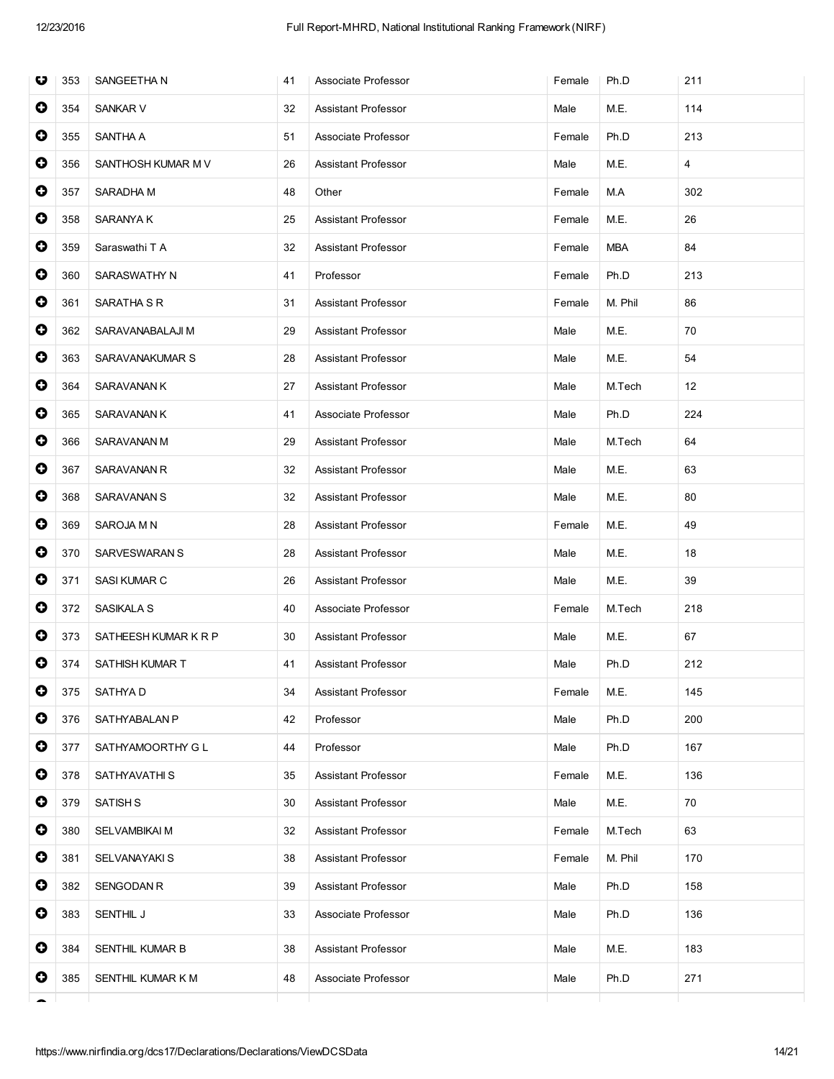| $\bullet$<br>354<br><b>SANKAR V</b><br>M.E.<br>114<br>32<br>Assistant Professor<br>Male<br>0<br>355<br>SANTHA A<br>Associate Professor<br>Ph.D<br>213<br>51<br>Female<br>0<br><b>Assistant Professor</b><br>M.E.<br>356<br>SANTHOSH KUMAR M V<br>26<br>Male<br>4<br>$\bullet$<br>SARADHA M<br>48<br>Other<br>M.A<br>302<br>357<br>Female<br>$\bullet$<br>358<br>SARANYA K<br>M.E.<br>26<br>25<br>Assistant Professor<br>Female<br>$\bullet$<br>359<br>Saraswathi T A<br>32<br>Assistant Professor<br>84<br>Female<br>MBA<br>0<br>360<br>SARASWATHY N<br>Professor<br>Ph.D<br>213<br>41<br>Female<br>0<br>SARATHA S R<br>M. Phil<br>86<br>361<br>31<br>Assistant Professor<br>Female<br>$\bullet$<br>362<br>29<br>Assistant Professor<br>M.E.<br>70<br>SARAVANABALAJI M<br>Male<br>$\bullet$<br>363<br>M.E.<br>54<br>SARAVANAKUMAR S<br>28<br>Assistant Professor<br>Male<br>$\bullet$<br>364<br>SARAVANAN K<br>M.Tech<br>12<br>27<br>Assistant Professor<br>Male<br>0<br>365<br><b>SARAVANAN K</b><br>41<br>Associate Professor<br>Male<br>Ph.D<br>224<br>0<br>366<br>SARAVANAN M<br>29<br><b>Assistant Professor</b><br>Male<br>M.Tech<br>64<br>$\bullet$<br>367<br>SARAVANAN R<br>32<br><b>Assistant Professor</b><br>M.E.<br>63<br>Male<br>$\bullet$<br>368<br>SARAVANAN S<br>M.E.<br>80<br>32<br>Assistant Professor<br>Male<br>$\bullet$<br>369<br>SAROJA M N<br>28<br>Assistant Professor<br>M.E.<br>49<br>Female<br>0<br>M.E.<br>18<br>370<br>SARVESWARAN S<br>28<br>Assistant Professor<br>Male<br>$\bullet$<br>371<br>SASI KUMAR C<br>M.E.<br>39<br>26<br>Assistant Professor<br>Male<br>0<br>372<br>SASIKALA S<br>40<br>Associate Professor<br>M.Tech<br>218<br>Female<br>0<br>373<br>M.E.<br>67<br>SATHEESH KUMAR K R P<br>30<br><b>Assistant Professor</b><br>Male<br>0<br>374<br>SATHISH KUMAR T<br><b>Assistant Professor</b><br>Ph.D<br>212<br>41<br>Male<br>O<br>375<br>SATHYA D<br>34<br><b>Assistant Professor</b><br>Female<br>M.E.<br>145<br>0<br>376<br>SATHYABALAN P<br>42<br>Professor<br>Male<br>Ph.D<br>200<br>$\bullet$<br>SATHYAMOORTHY G L<br>44<br>Professor<br>Ph.D<br>377<br>Male<br>167<br>0<br>378<br>SATHYAVATHI S<br>M.E.<br>136<br>35<br>Assistant Professor<br>Female<br>0<br>379<br><b>SATISH S</b><br>30<br>Assistant Professor<br>M.E.<br>70<br>Male<br>$\bullet$<br>380<br>SELVAMBIKAI M<br>32<br>Assistant Professor<br>63<br>Female<br>M.Tech | O | 353 | SANGEETHA N | 41 | Associate Professor | Female | Ph.D | 211 |
|------------------------------------------------------------------------------------------------------------------------------------------------------------------------------------------------------------------------------------------------------------------------------------------------------------------------------------------------------------------------------------------------------------------------------------------------------------------------------------------------------------------------------------------------------------------------------------------------------------------------------------------------------------------------------------------------------------------------------------------------------------------------------------------------------------------------------------------------------------------------------------------------------------------------------------------------------------------------------------------------------------------------------------------------------------------------------------------------------------------------------------------------------------------------------------------------------------------------------------------------------------------------------------------------------------------------------------------------------------------------------------------------------------------------------------------------------------------------------------------------------------------------------------------------------------------------------------------------------------------------------------------------------------------------------------------------------------------------------------------------------------------------------------------------------------------------------------------------------------------------------------------------------------------------------------------------------------------------------------------------------------------------------------------------------------------------------------------------------------------------------------------------------------------------------------------------------------------------------------------------------------------------------------------------------------------------------------------------------------------------------------------|---|-----|-------------|----|---------------------|--------|------|-----|
|                                                                                                                                                                                                                                                                                                                                                                                                                                                                                                                                                                                                                                                                                                                                                                                                                                                                                                                                                                                                                                                                                                                                                                                                                                                                                                                                                                                                                                                                                                                                                                                                                                                                                                                                                                                                                                                                                                                                                                                                                                                                                                                                                                                                                                                                                                                                                                                          |   |     |             |    |                     |        |      |     |
|                                                                                                                                                                                                                                                                                                                                                                                                                                                                                                                                                                                                                                                                                                                                                                                                                                                                                                                                                                                                                                                                                                                                                                                                                                                                                                                                                                                                                                                                                                                                                                                                                                                                                                                                                                                                                                                                                                                                                                                                                                                                                                                                                                                                                                                                                                                                                                                          |   |     |             |    |                     |        |      |     |
|                                                                                                                                                                                                                                                                                                                                                                                                                                                                                                                                                                                                                                                                                                                                                                                                                                                                                                                                                                                                                                                                                                                                                                                                                                                                                                                                                                                                                                                                                                                                                                                                                                                                                                                                                                                                                                                                                                                                                                                                                                                                                                                                                                                                                                                                                                                                                                                          |   |     |             |    |                     |        |      |     |
|                                                                                                                                                                                                                                                                                                                                                                                                                                                                                                                                                                                                                                                                                                                                                                                                                                                                                                                                                                                                                                                                                                                                                                                                                                                                                                                                                                                                                                                                                                                                                                                                                                                                                                                                                                                                                                                                                                                                                                                                                                                                                                                                                                                                                                                                                                                                                                                          |   |     |             |    |                     |        |      |     |
|                                                                                                                                                                                                                                                                                                                                                                                                                                                                                                                                                                                                                                                                                                                                                                                                                                                                                                                                                                                                                                                                                                                                                                                                                                                                                                                                                                                                                                                                                                                                                                                                                                                                                                                                                                                                                                                                                                                                                                                                                                                                                                                                                                                                                                                                                                                                                                                          |   |     |             |    |                     |        |      |     |
|                                                                                                                                                                                                                                                                                                                                                                                                                                                                                                                                                                                                                                                                                                                                                                                                                                                                                                                                                                                                                                                                                                                                                                                                                                                                                                                                                                                                                                                                                                                                                                                                                                                                                                                                                                                                                                                                                                                                                                                                                                                                                                                                                                                                                                                                                                                                                                                          |   |     |             |    |                     |        |      |     |
|                                                                                                                                                                                                                                                                                                                                                                                                                                                                                                                                                                                                                                                                                                                                                                                                                                                                                                                                                                                                                                                                                                                                                                                                                                                                                                                                                                                                                                                                                                                                                                                                                                                                                                                                                                                                                                                                                                                                                                                                                                                                                                                                                                                                                                                                                                                                                                                          |   |     |             |    |                     |        |      |     |
|                                                                                                                                                                                                                                                                                                                                                                                                                                                                                                                                                                                                                                                                                                                                                                                                                                                                                                                                                                                                                                                                                                                                                                                                                                                                                                                                                                                                                                                                                                                                                                                                                                                                                                                                                                                                                                                                                                                                                                                                                                                                                                                                                                                                                                                                                                                                                                                          |   |     |             |    |                     |        |      |     |
|                                                                                                                                                                                                                                                                                                                                                                                                                                                                                                                                                                                                                                                                                                                                                                                                                                                                                                                                                                                                                                                                                                                                                                                                                                                                                                                                                                                                                                                                                                                                                                                                                                                                                                                                                                                                                                                                                                                                                                                                                                                                                                                                                                                                                                                                                                                                                                                          |   |     |             |    |                     |        |      |     |
|                                                                                                                                                                                                                                                                                                                                                                                                                                                                                                                                                                                                                                                                                                                                                                                                                                                                                                                                                                                                                                                                                                                                                                                                                                                                                                                                                                                                                                                                                                                                                                                                                                                                                                                                                                                                                                                                                                                                                                                                                                                                                                                                                                                                                                                                                                                                                                                          |   |     |             |    |                     |        |      |     |
|                                                                                                                                                                                                                                                                                                                                                                                                                                                                                                                                                                                                                                                                                                                                                                                                                                                                                                                                                                                                                                                                                                                                                                                                                                                                                                                                                                                                                                                                                                                                                                                                                                                                                                                                                                                                                                                                                                                                                                                                                                                                                                                                                                                                                                                                                                                                                                                          |   |     |             |    |                     |        |      |     |
|                                                                                                                                                                                                                                                                                                                                                                                                                                                                                                                                                                                                                                                                                                                                                                                                                                                                                                                                                                                                                                                                                                                                                                                                                                                                                                                                                                                                                                                                                                                                                                                                                                                                                                                                                                                                                                                                                                                                                                                                                                                                                                                                                                                                                                                                                                                                                                                          |   |     |             |    |                     |        |      |     |
|                                                                                                                                                                                                                                                                                                                                                                                                                                                                                                                                                                                                                                                                                                                                                                                                                                                                                                                                                                                                                                                                                                                                                                                                                                                                                                                                                                                                                                                                                                                                                                                                                                                                                                                                                                                                                                                                                                                                                                                                                                                                                                                                                                                                                                                                                                                                                                                          |   |     |             |    |                     |        |      |     |
|                                                                                                                                                                                                                                                                                                                                                                                                                                                                                                                                                                                                                                                                                                                                                                                                                                                                                                                                                                                                                                                                                                                                                                                                                                                                                                                                                                                                                                                                                                                                                                                                                                                                                                                                                                                                                                                                                                                                                                                                                                                                                                                                                                                                                                                                                                                                                                                          |   |     |             |    |                     |        |      |     |
|                                                                                                                                                                                                                                                                                                                                                                                                                                                                                                                                                                                                                                                                                                                                                                                                                                                                                                                                                                                                                                                                                                                                                                                                                                                                                                                                                                                                                                                                                                                                                                                                                                                                                                                                                                                                                                                                                                                                                                                                                                                                                                                                                                                                                                                                                                                                                                                          |   |     |             |    |                     |        |      |     |
|                                                                                                                                                                                                                                                                                                                                                                                                                                                                                                                                                                                                                                                                                                                                                                                                                                                                                                                                                                                                                                                                                                                                                                                                                                                                                                                                                                                                                                                                                                                                                                                                                                                                                                                                                                                                                                                                                                                                                                                                                                                                                                                                                                                                                                                                                                                                                                                          |   |     |             |    |                     |        |      |     |
|                                                                                                                                                                                                                                                                                                                                                                                                                                                                                                                                                                                                                                                                                                                                                                                                                                                                                                                                                                                                                                                                                                                                                                                                                                                                                                                                                                                                                                                                                                                                                                                                                                                                                                                                                                                                                                                                                                                                                                                                                                                                                                                                                                                                                                                                                                                                                                                          |   |     |             |    |                     |        |      |     |
|                                                                                                                                                                                                                                                                                                                                                                                                                                                                                                                                                                                                                                                                                                                                                                                                                                                                                                                                                                                                                                                                                                                                                                                                                                                                                                                                                                                                                                                                                                                                                                                                                                                                                                                                                                                                                                                                                                                                                                                                                                                                                                                                                                                                                                                                                                                                                                                          |   |     |             |    |                     |        |      |     |
|                                                                                                                                                                                                                                                                                                                                                                                                                                                                                                                                                                                                                                                                                                                                                                                                                                                                                                                                                                                                                                                                                                                                                                                                                                                                                                                                                                                                                                                                                                                                                                                                                                                                                                                                                                                                                                                                                                                                                                                                                                                                                                                                                                                                                                                                                                                                                                                          |   |     |             |    |                     |        |      |     |
|                                                                                                                                                                                                                                                                                                                                                                                                                                                                                                                                                                                                                                                                                                                                                                                                                                                                                                                                                                                                                                                                                                                                                                                                                                                                                                                                                                                                                                                                                                                                                                                                                                                                                                                                                                                                                                                                                                                                                                                                                                                                                                                                                                                                                                                                                                                                                                                          |   |     |             |    |                     |        |      |     |
|                                                                                                                                                                                                                                                                                                                                                                                                                                                                                                                                                                                                                                                                                                                                                                                                                                                                                                                                                                                                                                                                                                                                                                                                                                                                                                                                                                                                                                                                                                                                                                                                                                                                                                                                                                                                                                                                                                                                                                                                                                                                                                                                                                                                                                                                                                                                                                                          |   |     |             |    |                     |        |      |     |
|                                                                                                                                                                                                                                                                                                                                                                                                                                                                                                                                                                                                                                                                                                                                                                                                                                                                                                                                                                                                                                                                                                                                                                                                                                                                                                                                                                                                                                                                                                                                                                                                                                                                                                                                                                                                                                                                                                                                                                                                                                                                                                                                                                                                                                                                                                                                                                                          |   |     |             |    |                     |        |      |     |
|                                                                                                                                                                                                                                                                                                                                                                                                                                                                                                                                                                                                                                                                                                                                                                                                                                                                                                                                                                                                                                                                                                                                                                                                                                                                                                                                                                                                                                                                                                                                                                                                                                                                                                                                                                                                                                                                                                                                                                                                                                                                                                                                                                                                                                                                                                                                                                                          |   |     |             |    |                     |        |      |     |
|                                                                                                                                                                                                                                                                                                                                                                                                                                                                                                                                                                                                                                                                                                                                                                                                                                                                                                                                                                                                                                                                                                                                                                                                                                                                                                                                                                                                                                                                                                                                                                                                                                                                                                                                                                                                                                                                                                                                                                                                                                                                                                                                                                                                                                                                                                                                                                                          |   |     |             |    |                     |        |      |     |
|                                                                                                                                                                                                                                                                                                                                                                                                                                                                                                                                                                                                                                                                                                                                                                                                                                                                                                                                                                                                                                                                                                                                                                                                                                                                                                                                                                                                                                                                                                                                                                                                                                                                                                                                                                                                                                                                                                                                                                                                                                                                                                                                                                                                                                                                                                                                                                                          |   |     |             |    |                     |        |      |     |
|                                                                                                                                                                                                                                                                                                                                                                                                                                                                                                                                                                                                                                                                                                                                                                                                                                                                                                                                                                                                                                                                                                                                                                                                                                                                                                                                                                                                                                                                                                                                                                                                                                                                                                                                                                                                                                                                                                                                                                                                                                                                                                                                                                                                                                                                                                                                                                                          |   |     |             |    |                     |        |      |     |
|                                                                                                                                                                                                                                                                                                                                                                                                                                                                                                                                                                                                                                                                                                                                                                                                                                                                                                                                                                                                                                                                                                                                                                                                                                                                                                                                                                                                                                                                                                                                                                                                                                                                                                                                                                                                                                                                                                                                                                                                                                                                                                                                                                                                                                                                                                                                                                                          |   |     |             |    |                     |        |      |     |
| 0<br>381<br>SELVANAYAKI S<br>38<br>Assistant Professor<br>M. Phil<br>170<br>Female                                                                                                                                                                                                                                                                                                                                                                                                                                                                                                                                                                                                                                                                                                                                                                                                                                                                                                                                                                                                                                                                                                                                                                                                                                                                                                                                                                                                                                                                                                                                                                                                                                                                                                                                                                                                                                                                                                                                                                                                                                                                                                                                                                                                                                                                                                       |   |     |             |    |                     |        |      |     |
| 0<br>382<br><b>SENGODAN R</b><br>Assistant Professor<br>Ph.D<br>39<br>Male<br>158                                                                                                                                                                                                                                                                                                                                                                                                                                                                                                                                                                                                                                                                                                                                                                                                                                                                                                                                                                                                                                                                                                                                                                                                                                                                                                                                                                                                                                                                                                                                                                                                                                                                                                                                                                                                                                                                                                                                                                                                                                                                                                                                                                                                                                                                                                        |   |     |             |    |                     |        |      |     |
| 0<br>136<br>383<br>SENTHIL J<br>33<br>Associate Professor<br>Ph.D<br>Male                                                                                                                                                                                                                                                                                                                                                                                                                                                                                                                                                                                                                                                                                                                                                                                                                                                                                                                                                                                                                                                                                                                                                                                                                                                                                                                                                                                                                                                                                                                                                                                                                                                                                                                                                                                                                                                                                                                                                                                                                                                                                                                                                                                                                                                                                                                |   |     |             |    |                     |        |      |     |
| 0<br>384<br>SENTHIL KUMAR B<br>38<br>Assistant Professor<br>M.E.<br>183<br>Male                                                                                                                                                                                                                                                                                                                                                                                                                                                                                                                                                                                                                                                                                                                                                                                                                                                                                                                                                                                                                                                                                                                                                                                                                                                                                                                                                                                                                                                                                                                                                                                                                                                                                                                                                                                                                                                                                                                                                                                                                                                                                                                                                                                                                                                                                                          |   |     |             |    |                     |        |      |     |
| 0<br>385<br>SENTHIL KUMAR K M<br>Associate Professor<br>Ph.D<br>271<br>48<br>Male                                                                                                                                                                                                                                                                                                                                                                                                                                                                                                                                                                                                                                                                                                                                                                                                                                                                                                                                                                                                                                                                                                                                                                                                                                                                                                                                                                                                                                                                                                                                                                                                                                                                                                                                                                                                                                                                                                                                                                                                                                                                                                                                                                                                                                                                                                        |   |     |             |    |                     |        |      |     |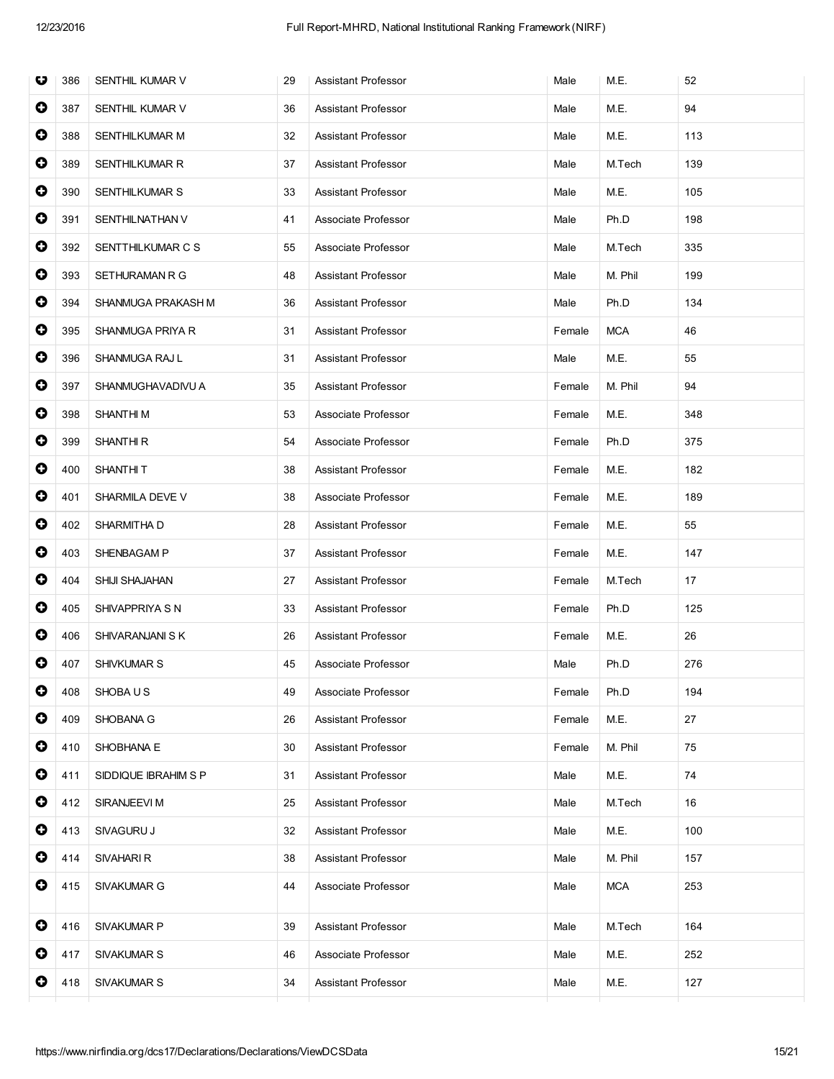| O         | 386 | SENTHIL KUMAR V      | 29 | <b>Assistant Professor</b> | Male   | M.E.       | 52  |
|-----------|-----|----------------------|----|----------------------------|--------|------------|-----|
| $\bullet$ | 387 | SENTHIL KUMAR V      | 36 | Assistant Professor        | Male   | M.E.       | 94  |
| $\bullet$ | 388 | SENTHILKUMAR M       | 32 | Assistant Professor        | Male   | M.E.       | 113 |
| $\bullet$ | 389 | SENTHILKUMAR R       | 37 | Assistant Professor        | Male   | M.Tech     | 139 |
| $\bullet$ | 390 | SENTHILKUMAR S       | 33 | Assistant Professor        | Male   | M.E.       | 105 |
| $\bullet$ | 391 | SENTHILNATHAN V      | 41 | Associate Professor        | Male   | Ph.D       | 198 |
| $\bullet$ | 392 | SENTTHILKUMAR C S    | 55 | Associate Professor        | Male   | M.Tech     | 335 |
| $\bullet$ | 393 | SETHURAMAN R G       | 48 | Assistant Professor        | Male   | M. Phil    | 199 |
| 0         | 394 | SHANMUGA PRAKASH M   | 36 | Assistant Professor        | Male   | Ph.D       | 134 |
| $\bullet$ | 395 | SHANMUGA PRIYA R     | 31 | Assistant Professor        | Female | <b>MCA</b> | 46  |
| $\bullet$ | 396 | SHANMUGA RAJ L       | 31 | Assistant Professor        | Male   | M.E.       | 55  |
| $\bullet$ | 397 | SHANMUGHAVADIVU A    | 35 | Assistant Professor        | Female | M. Phil    | 94  |
| $\bullet$ | 398 | <b>SHANTHIM</b>      | 53 | Associate Professor        | Female | M.E.       | 348 |
| $\bullet$ | 399 | SHANTHI R            | 54 | Associate Professor        | Female | Ph.D       | 375 |
| $\bullet$ | 400 | <b>SHANTHIT</b>      | 38 | Assistant Professor        | Female | M.E.       | 182 |
| $\bullet$ | 401 | SHARMILA DEVE V      | 38 | Associate Professor        | Female | M.E.       | 189 |
| $\bullet$ | 402 | SHARMITHA D          | 28 | Assistant Professor        | Female | M.E.       | 55  |
| 0         | 403 | SHENBAGAM P          | 37 | Assistant Professor        | Female | M.E.       | 147 |
| 0         | 404 | SHIJI SHAJAHAN       | 27 | Assistant Professor        | Female | M.Tech     | 17  |
| $\bullet$ | 405 | SHIVAPPRIYA S N      | 33 | Assistant Professor        | Female | Ph.D       | 125 |
| 0         | 406 | SHIVARANJANI S K     | 26 | Assistant Professor        | Female | M.E.       | 26  |
| $\bullet$ | 407 | SHIVKUMAR S          | 45 | Associate Professor        | Male   | Ph.D       | 276 |
| $\bullet$ | 408 | SHOBA U S            | 49 | Associate Professor        | Female | Ph.D       | 194 |
| 0         | 409 | SHOBANA G            | 26 | Assistant Professor        | Female | M.E.       | 27  |
| $\bullet$ | 410 | SHOBHANA E           | 30 | Assistant Professor        | Female | M. Phil    | 75  |
| 0         | 411 | SIDDIQUE IBRAHIM S P | 31 | Assistant Professor        | Male   | M.E.       | 74  |
| 0         | 412 | SIRANJEEVI M         | 25 | Assistant Professor        | Male   | M.Tech     | 16  |
| 0         | 413 | SIVAGURU J           | 32 | Assistant Professor        | Male   | M.E.       | 100 |
| 0         | 414 | SIVAHARI R           | 38 | Assistant Professor        | Male   | M. Phil    | 157 |
| $\bullet$ | 415 | SIVAKUMAR G          | 44 | Associate Professor        | Male   | <b>MCA</b> | 253 |
| $\bullet$ | 416 | SIVAKUMAR P          | 39 | Assistant Professor        | Male   | M.Tech     | 164 |
| 0         | 417 | SIVAKUMAR S          | 46 | Associate Professor        | Male   | M.E.       | 252 |
| $\bullet$ | 418 | <b>SIVAKUMAR S</b>   | 34 | Assistant Professor        | Male   | M.E.       | 127 |
|           |     |                      |    |                            |        |            |     |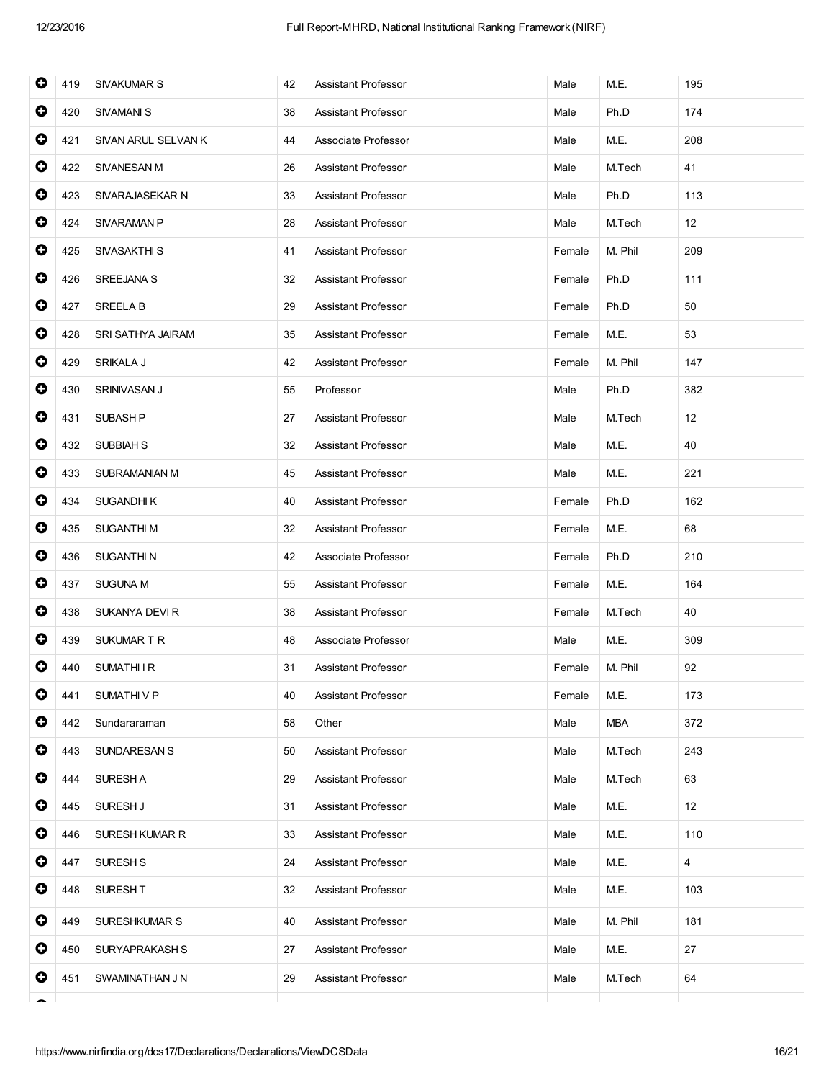| 0         | 419 | <b>SIVAKUMAR S</b>  | 42 | Assistant Professor        | Male   | M.E.       | 195 |
|-----------|-----|---------------------|----|----------------------------|--------|------------|-----|
| 0         | 420 | <b>SIVAMANI S</b>   | 38 | <b>Assistant Professor</b> | Male   | Ph.D       | 174 |
| 0         | 421 | SIVAN ARUL SELVAN K | 44 | Associate Professor        | Male   | M.E.       | 208 |
| $\bullet$ | 422 | <b>SIVANESAN M</b>  | 26 | Assistant Professor        | Male   | M.Tech     | 41  |
| $\bullet$ | 423 | SIVARAJASEKAR N     | 33 | <b>Assistant Professor</b> | Male   | Ph.D       | 113 |
| $\bullet$ | 424 | SIVARAMAN P         | 28 | Assistant Professor        | Male   | M.Tech     | 12  |
| 0         | 425 | SIVASAKTHI S        | 41 | Assistant Professor        | Female | M. Phil    | 209 |
| $\bullet$ | 426 | SREEJANA S          | 32 | Assistant Professor        | Female | Ph.D       | 111 |
| $\bullet$ | 427 | <b>SREELA B</b>     | 29 | Assistant Professor        | Female | Ph.D       | 50  |
| $\bullet$ | 428 | SRI SATHYA JAIRAM   | 35 | <b>Assistant Professor</b> | Female | M.E.       | 53  |
| $\bullet$ | 429 | SRIKALA J           | 42 | Assistant Professor        | Female | M. Phil    | 147 |
| 0         | 430 | SRINIVASAN J        | 55 | Professor                  | Male   | Ph.D       | 382 |
| $\bullet$ | 431 | SUBASH <sub>P</sub> | 27 | Assistant Professor        | Male   | M.Tech     | 12  |
| $\bullet$ | 432 | <b>SUBBIAH S</b>    | 32 | Assistant Professor        | Male   | M.E.       | 40  |
| $\bullet$ | 433 | SUBRAMANIAN M       | 45 | Assistant Professor        | Male   | M.E.       | 221 |
| $\bullet$ | 434 | <b>SUGANDHIK</b>    | 40 | Assistant Professor        | Female | Ph.D       | 162 |
| 0         | 435 | <b>SUGANTHIM</b>    | 32 | Assistant Professor        | Female | M.E.       | 68  |
| $\bullet$ | 436 | SUGANTHI N          | 42 | Associate Professor        | Female | Ph.D       | 210 |
| $\bullet$ | 437 | <b>SUGUNA M</b>     | 55 | Assistant Professor        | Female | M.E.       | 164 |
| $\bullet$ | 438 | SUKANYA DEVI R      | 38 | <b>Assistant Professor</b> | Female | M.Tech     | 40  |
| 0         | 439 | SUKUMAR T R         | 48 | Associate Professor        | Male   | M.E.       | 309 |
| 0         | 440 | <b>SUMATHIIR</b>    | 31 | Assistant Professor        | Female | M. Phil    | 92  |
| O         | 441 | <b>SUMATHIVP</b>    | 40 | <b>Assistant Professor</b> | Female | M.E.       | 173 |
| 0         | 442 | Sundararaman        | 58 | Other                      | Male   | <b>MBA</b> | 372 |
| 0         | 443 | <b>SUNDARESAN S</b> | 50 | <b>Assistant Professor</b> | Male   | M.Tech     | 243 |
| 0         | 444 | SURESH A            | 29 | Assistant Professor        | Male   | M.Tech     | 63  |
| 0         | 445 | SURESH J            | 31 | <b>Assistant Professor</b> | Male   | M.E.       | 12  |
| 0         | 446 | SURESH KUMAR R      | 33 | Assistant Professor        | Male   | M.E.       | 110 |
| $\bullet$ | 447 | SURESH <sub>S</sub> | 24 | Assistant Professor        | Male   | M.E.       | 4   |
| 0         | 448 | SURESH T            | 32 | <b>Assistant Professor</b> | Male   | M.E.       | 103 |
| 0         | 449 | SURESHKUMAR S       | 40 | Assistant Professor        | Male   | M. Phil    | 181 |
| 0         | 450 | SURYAPRAKASH S      | 27 | Assistant Professor        | Male   | M.E.       | 27  |
| 0         | 451 | SWAMINATHAN J N     | 29 | Assistant Professor        | Male   | M.Tech     | 64  |
|           |     |                     |    |                            |        |            |     |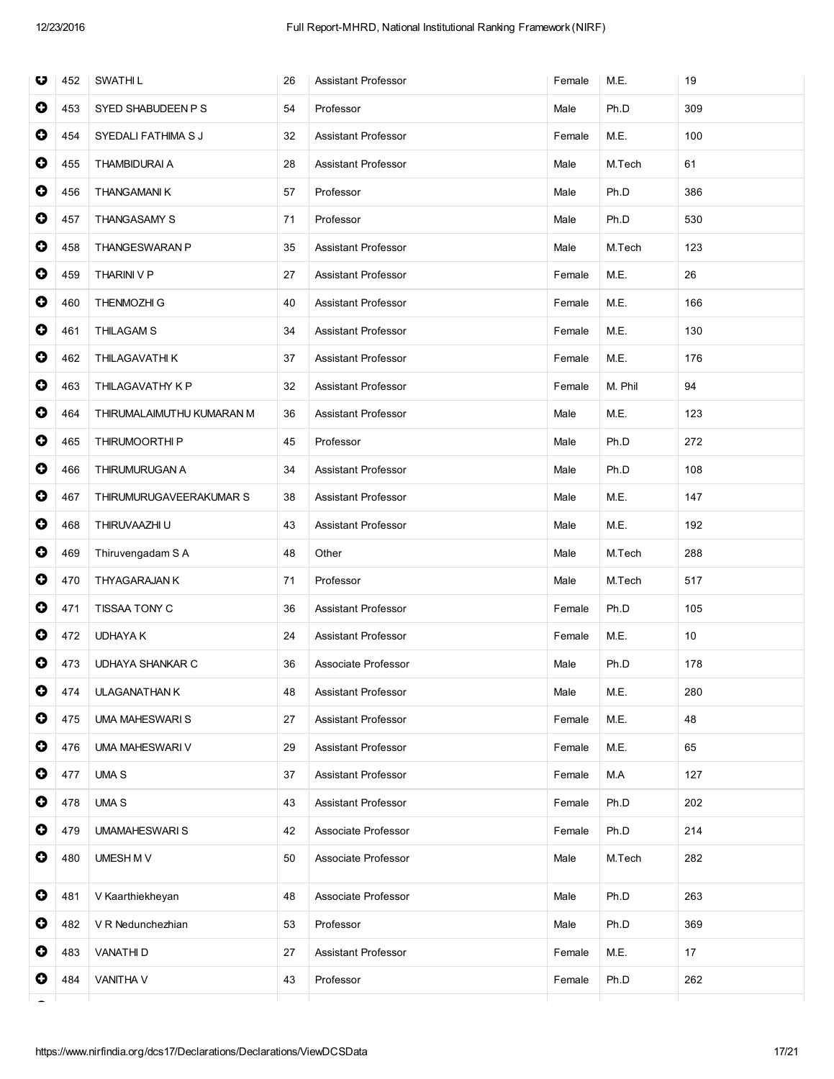| U         | 452 | <b>SWATHIL</b>            | 26 | Assistant Professor        | Female | M.E.    | 19  |
|-----------|-----|---------------------------|----|----------------------------|--------|---------|-----|
| $\bullet$ | 453 | SYED SHABUDEEN P S        | 54 | Professor                  | Male   | Ph.D    | 309 |
| $\bullet$ | 454 | SYEDALI FATHIMA S J       | 32 | <b>Assistant Professor</b> | Female | M.E.    | 100 |
| 0         | 455 | <b>THAMBIDURAI A</b>      | 28 | Assistant Professor        | Male   | M.Tech  | 61  |
| $\bullet$ | 456 | <b>THANGAMANIK</b>        | 57 | Professor                  | Male   | Ph.D    | 386 |
| 0         | 457 | <b>THANGASAMY S</b>       | 71 | Professor                  | Male   | Ph.D    | 530 |
| $\bullet$ | 458 | THANGESWARAN P            | 35 | <b>Assistant Professor</b> | Male   | M.Tech  | 123 |
| 0         | 459 | THARINI V P               | 27 | <b>Assistant Professor</b> | Female | M.E.    | 26  |
| 0         | 460 | <b>THENMOZHI G</b>        | 40 | Assistant Professor        | Female | M.E.    | 166 |
| $\bullet$ | 461 | <b>THILAGAM S</b>         | 34 | <b>Assistant Professor</b> | Female | M.E.    | 130 |
| 0         | 462 | THILAGAVATHI K            | 37 | <b>Assistant Professor</b> | Female | M.E.    | 176 |
| $\bullet$ | 463 | THILAGAVATHY K P          | 32 | <b>Assistant Professor</b> | Female | M. Phil | 94  |
| 0         | 464 | THIRUMALAIMUTHU KUMARAN M | 36 | Assistant Professor        | Male   | M.E.    | 123 |
| 0         | 465 | THIRUMOORTHI P            | 45 | Professor                  | Male   | Ph.D    | 272 |
| $\bullet$ | 466 | THIRUMURUGAN A            | 34 | Assistant Professor        | Male   | Ph.D    | 108 |
| $\bullet$ | 467 | THIRUMURUGAVEERAKUMAR S   | 38 | <b>Assistant Professor</b> | Male   | M.E.    | 147 |
| $\bullet$ | 468 | THIRUVAAZHI U             | 43 | <b>Assistant Professor</b> | Male   | M.E.    | 192 |
| 0         | 469 | Thiruvengadam S A         | 48 | Other                      | Male   | M.Tech  | 288 |
| $\bullet$ | 470 | <b>THYAGARAJAN K</b>      | 71 | Professor                  | Male   | M.Tech  | 517 |
| 0         | 471 | TISSAA TONY C             | 36 | <b>Assistant Professor</b> | Female | Ph.D    | 105 |
| 0         | 472 | <b>UDHAYA K</b>           | 24 | <b>Assistant Professor</b> | Female | M.E.    | 10  |
| 0         | 473 | UDHAYA SHANKAR C          | 36 | Associate Professor        | Male   | Ph.D    | 178 |
| 0         | 474 | <b>ULAGANATHAN K</b>      | 48 | Assistant Professor        | Male   | M.E.    | 280 |
| 0         | 475 | <b>UMA MAHESWARIS</b>     | 27 | Assistant Professor        | Female | M.E.    | 48  |
| $\bullet$ | 476 | <b>UMA MAHESWARI V</b>    | 29 | <b>Assistant Professor</b> | Female | M.E.    | 65  |
| 0         | 477 | <b>UMA S</b>              | 37 | <b>Assistant Professor</b> | Female | M.A     | 127 |
| $\bullet$ | 478 | <b>UMA S</b>              | 43 | Assistant Professor        | Female | Ph.D    | 202 |
| 0         | 479 | <b>UMAMAHESWARIS</b>      | 42 | Associate Professor        | Female | Ph.D    | 214 |
| 0         | 480 | UMESH M V                 | 50 | Associate Professor        | Male   | M.Tech  | 282 |
| 0         | 481 | V Kaarthiekheyan          | 48 | Associate Professor        | Male   | Ph.D    | 263 |
| 0         | 482 | V R Nedunchezhian         | 53 | Professor                  | Male   | Ph.D    | 369 |
| 0         | 483 | <b>VANATHID</b>           | 27 | Assistant Professor        | Female | M.E.    | 17  |
| 0         | 484 | <b>VANITHA V</b>          | 43 | Professor                  | Female | Ph.D    | 262 |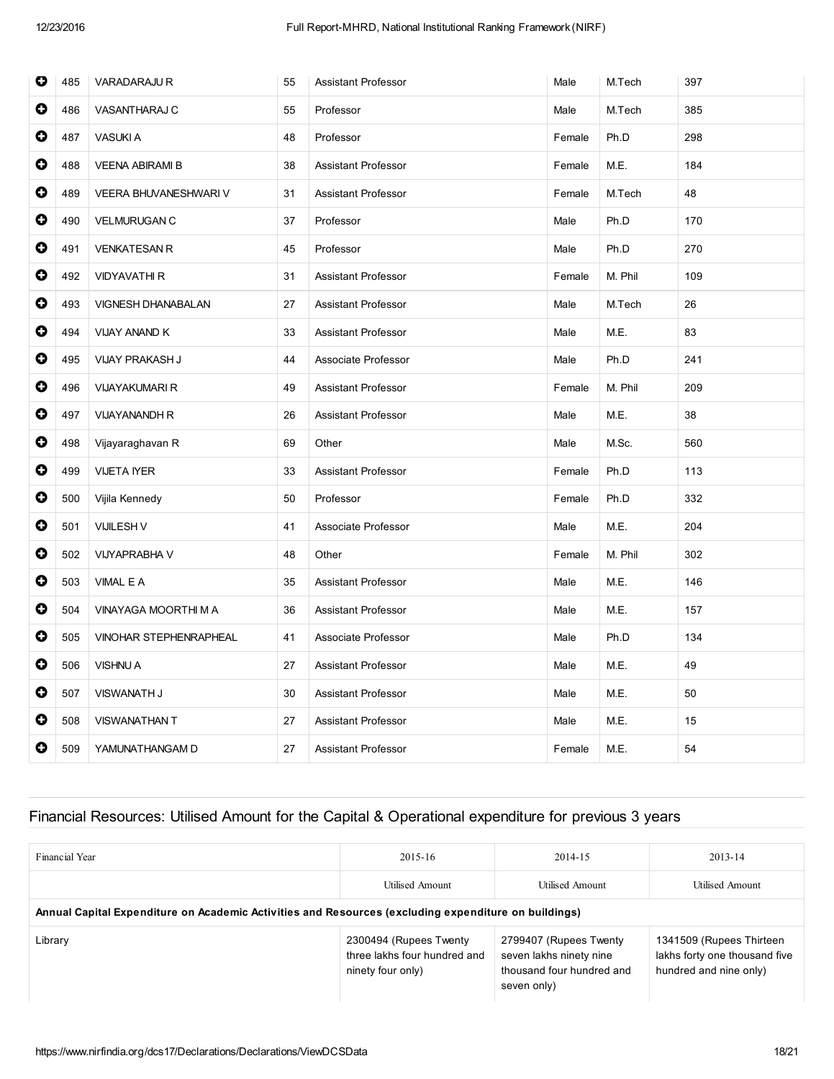| $\bullet$ | 485 | <b>VARADARAJU R</b>       | 55 | <b>Assistant Professor</b> | Male   | M.Tech  | 397 |
|-----------|-----|---------------------------|----|----------------------------|--------|---------|-----|
| $\bullet$ | 486 | VASANTHARAJ C             | 55 | Professor                  | Male   | M.Tech  | 385 |
| $\bullet$ | 487 | <b>VASUKI A</b>           | 48 | Professor                  | Female | Ph.D    | 298 |
| $\bullet$ | 488 | <b>VEENA ABIRAMI B</b>    | 38 | <b>Assistant Professor</b> | Female | M.E.    | 184 |
| $\bullet$ | 489 | VEERA BHUVANESHWARI V     | 31 | <b>Assistant Professor</b> | Female | M.Tech  | 48  |
| $\bullet$ | 490 | <b>VELMURUGAN C</b>       | 37 | Professor                  | Male   | Ph.D    | 170 |
| $\bullet$ | 491 | <b>VENKATESAN R</b>       | 45 | Professor                  | Male   | Ph.D    | 270 |
| $\bullet$ | 492 | <b>VIDYAVATHI R</b>       | 31 | <b>Assistant Professor</b> | Female | M. Phil | 109 |
| $\bullet$ | 493 | <b>VIGNESH DHANABALAN</b> | 27 | <b>Assistant Professor</b> | Male   | M.Tech  | 26  |
| 0         | 494 | VIJAY ANAND K             | 33 | <b>Assistant Professor</b> | Male   | M.E.    | 83  |
| 0         | 495 | VIJAY PRAKASH J           | 44 | Associate Professor        | Male   | Ph.D    | 241 |
| 0         | 496 | <b>VIJAYAKUMARI R</b>     | 49 | <b>Assistant Professor</b> | Female | M. Phil | 209 |
| $\bullet$ | 497 | <b>VIJAYANANDH R</b>      | 26 | Assistant Professor        | Male   | M.E.    | 38  |
| $\bullet$ | 498 | Vijayaraghavan R          | 69 | Other                      | Male   | M.Sc.   | 560 |
| $\bullet$ | 499 | <b>VIJETA IYER</b>        | 33 | Assistant Professor        | Female | Ph.D    | 113 |
| $\bullet$ | 500 | Vijila Kennedy            | 50 | Professor                  | Female | Ph.D    | 332 |
| 0         | 501 | <b>VIJILESH V</b>         | 41 | Associate Professor        | Male   | M.E.    | 204 |
| $\bullet$ | 502 | <b>VIJYAPRABHA V</b>      | 48 | Other                      | Female | M. Phil | 302 |
| $\bullet$ | 503 | VIMAL E A                 | 35 | <b>Assistant Professor</b> | Male   | M.E.    | 146 |
| $\bullet$ | 504 | VINAYAGA MOORTHI M A      | 36 | <b>Assistant Professor</b> | Male   | M.E.    | 157 |
| $\bullet$ | 505 | VINOHAR STEPHENRAPHEAL    | 41 | Associate Professor        | Male   | Ph.D    | 134 |
| $\bullet$ | 506 | <b>VISHNU A</b>           | 27 | Assistant Professor        | Male   | M.E.    | 49  |
| $\bullet$ | 507 | <b>VISWANATH J</b>        | 30 | Assistant Professor        | Male   | M.E.    | 50  |
| 0         | 508 | VISWANATHAN T             | 27 | Assistant Professor        | Male   | M.E.    | 15  |
| $\bullet$ | 509 | YAMUNATHANGAM D           | 27 | <b>Assistant Professor</b> | Female | M.E.    | 54  |

## Financial Resources: Utilised Amount for the Capital & Operational expenditure for previous 3 years

| Financial Year                                                                                       | $2015 - 16$                                                                 | 2014-15                                                                                       | 2013-14                                                                             |
|------------------------------------------------------------------------------------------------------|-----------------------------------------------------------------------------|-----------------------------------------------------------------------------------------------|-------------------------------------------------------------------------------------|
|                                                                                                      | Utilised Amount                                                             | <b>Utilised Amount</b>                                                                        | Utilised Amount                                                                     |
| Annual Capital Expenditure on Academic Activities and Resources (excluding expenditure on buildings) |                                                                             |                                                                                               |                                                                                     |
| Library                                                                                              | 2300494 (Rupees Twenty<br>three lakhs four hundred and<br>ninety four only) | 2799407 (Rupees Twenty<br>seven lakhs ninety nine<br>thousand four hundred and<br>seven only) | 1341509 (Rupees Thirteen<br>lakhs forty one thousand five<br>hundred and nine only) |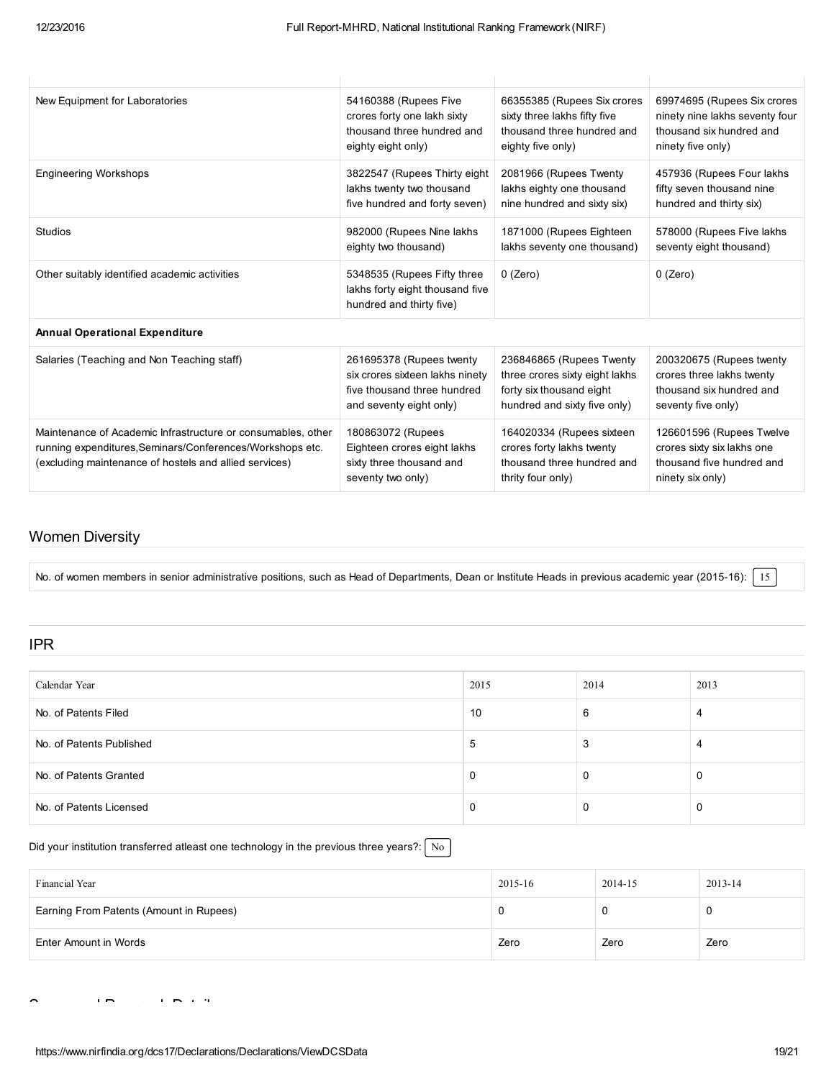$\overline{1}$ 

| New Equipment for Laboratories                                                                                                                                                      | 54160388 (Rupees Five                                                                             | 66355385 (Rupees Six crores                                                                               | 69974695 (Rupees Six crores                                                                             |
|-------------------------------------------------------------------------------------------------------------------------------------------------------------------------------------|---------------------------------------------------------------------------------------------------|-----------------------------------------------------------------------------------------------------------|---------------------------------------------------------------------------------------------------------|
|                                                                                                                                                                                     | crores forty one lakh sixty                                                                       | sixty three lakhs fifty five                                                                              | ninety nine lakhs seventy four                                                                          |
|                                                                                                                                                                                     | thousand three hundred and                                                                        | thousand three hundred and                                                                                | thousand six hundred and                                                                                |
|                                                                                                                                                                                     | eighty eight only)                                                                                | eighty five only)                                                                                         | ninety five only)                                                                                       |
| <b>Engineering Workshops</b>                                                                                                                                                        | 3822547 (Rupees Thirty eight)                                                                     | 2081966 (Rupees Twenty                                                                                    | 457936 (Rupees Four lakhs                                                                               |
|                                                                                                                                                                                     | lakhs twenty two thousand                                                                         | lakhs eighty one thousand                                                                                 | fifty seven thousand nine                                                                               |
|                                                                                                                                                                                     | five hundred and forty seven)                                                                     | nine hundred and sixty six)                                                                               | hundred and thirty six)                                                                                 |
| <b>Studios</b>                                                                                                                                                                      | 982000 (Rupees Nine lakhs                                                                         | 1871000 (Rupees Eighteen                                                                                  | 578000 (Rupees Five lakhs                                                                               |
|                                                                                                                                                                                     | eighty two thousand)                                                                              | lakhs seventy one thousand)                                                                               | seventy eight thousand)                                                                                 |
| Other suitably identified academic activities                                                                                                                                       | 5348535 (Rupees Fifty three<br>lakhs forty eight thousand five<br>hundred and thirty five)        | 0 (Zero)                                                                                                  | $0$ (Zero)                                                                                              |
| <b>Annual Operational Expenditure</b>                                                                                                                                               |                                                                                                   |                                                                                                           |                                                                                                         |
| Salaries (Teaching and Non Teaching staff)                                                                                                                                          | 261695378 (Rupees twenty                                                                          | 236846865 (Rupees Twenty                                                                                  | 200320675 (Rupees twenty                                                                                |
|                                                                                                                                                                                     | six crores sixteen lakhs ninety                                                                   | three crores sixty eight lakhs                                                                            | crores three lakhs twenty                                                                               |
|                                                                                                                                                                                     | five thousand three hundred                                                                       | forty six thousand eight                                                                                  | thousand six hundred and                                                                                |
|                                                                                                                                                                                     | and seventy eight only)                                                                           | hundred and sixty five only)                                                                              | seventy five only)                                                                                      |
| Maintenance of Academic Infrastructure or consumables, other<br>running expenditures, Seminars/Conferences/Workshops etc.<br>(excluding maintenance of hostels and allied services) | 180863072 (Rupees<br>Eighteen crores eight lakhs<br>sixty three thousand and<br>seventy two only) | 164020334 (Rupees sixteen<br>crores forty lakhs twenty<br>thousand three hundred and<br>thrity four only) | 126601596 (Rupees Twelve<br>crores sixty six lakhs one<br>thousand five hundred and<br>ninety six only) |

### Women Diversity

No. of women members in senior administrative positions, such as Head of Departments, Dean or Institute Heads in previous academic year (2015-16): 15

### IPR

| Calendar Year            | 2015 | 2014 | 2013 |
|--------------------------|------|------|------|
| No. of Patents Filed     | 10   | 6    |      |
| No. of Patents Published | đ    | 3    |      |
| No. of Patents Granted   | v    | 0    |      |
| No. of Patents Licensed  | υ    | O    | C    |

#### Did your institution transferred atleast one technology in the previous three years?:  $\sqrt{\text{No}}$

| Financial Year                          | 2015-16 | 2014-15 | 2013-14 |
|-----------------------------------------|---------|---------|---------|
| Earning From Patents (Amount in Rupees) |         |         | 0       |
| Enter Amount in Words                   | Zero    | Zero    | Zero    |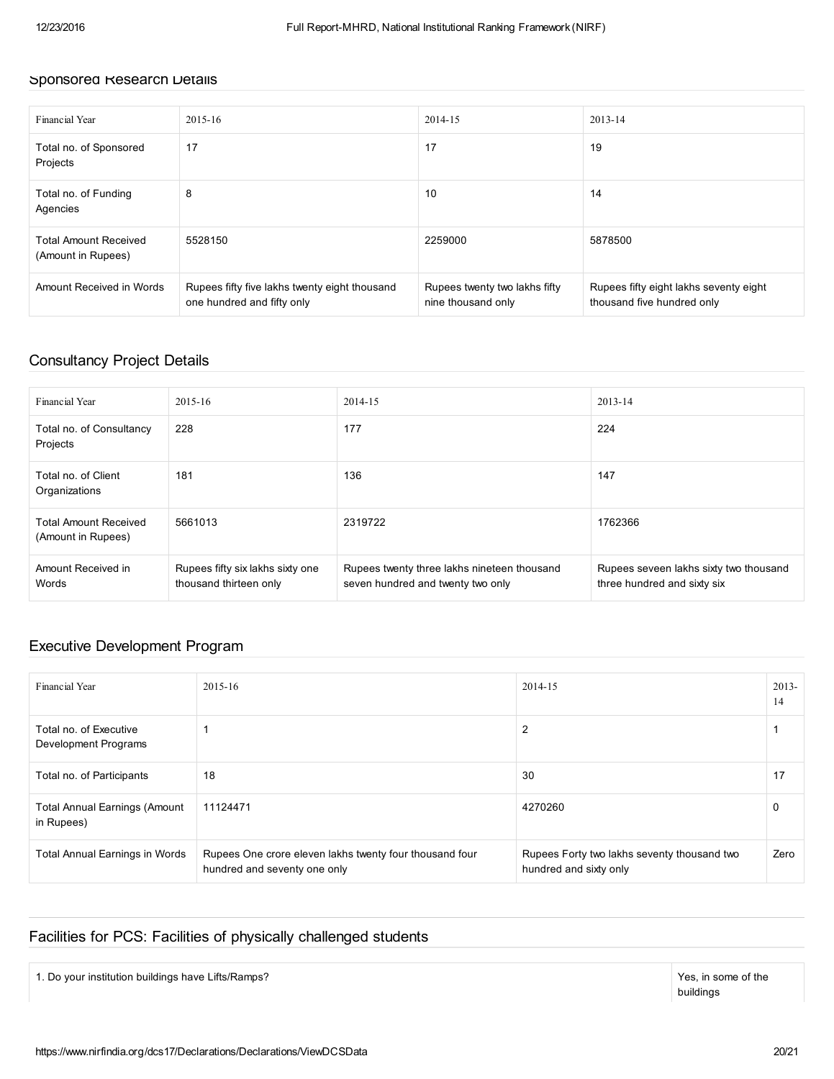#### Sponsored Research Details

| Financial Year                                     | 2015-16                                                                     | 2014-15                                             | 2013-14                                                              |
|----------------------------------------------------|-----------------------------------------------------------------------------|-----------------------------------------------------|----------------------------------------------------------------------|
| Total no. of Sponsored<br>Projects                 | 17                                                                          | 17                                                  | 19                                                                   |
| Total no. of Funding<br>Agencies                   | 8                                                                           | 10                                                  | 14                                                                   |
| <b>Total Amount Received</b><br>(Amount in Rupees) | 5528150                                                                     | 2259000                                             | 5878500                                                              |
| Amount Received in Words                           | Rupees fifty five lakhs twenty eight thousand<br>one hundred and fifty only | Rupees twenty two lakhs fifty<br>nine thousand only | Rupees fifty eight lakhs seventy eight<br>thousand five hundred only |

## Consultancy Project Details

| Financial Year                                     | 2015-16                                                    | 2014-15                                                                          | $2013 - 14$                                                           |
|----------------------------------------------------|------------------------------------------------------------|----------------------------------------------------------------------------------|-----------------------------------------------------------------------|
| Total no. of Consultancy<br>Projects               | 228                                                        | 177                                                                              | 224                                                                   |
| Total no. of Client<br>Organizations               | 181                                                        | 136                                                                              | 147                                                                   |
| <b>Total Amount Received</b><br>(Amount in Rupees) | 5661013                                                    | 2319722                                                                          | 1762366                                                               |
| Amount Received in<br>Words                        | Rupees fifty six lakhs sixty one<br>thousand thirteen only | Rupees twenty three lakhs nineteen thousand<br>seven hundred and twenty two only | Rupees seveen lakhs sixty two thousand<br>three hundred and sixty six |

### Executive Development Program

| Financial Year                                     | $2015 - 16$                                                                             | 2014-15                                                               | $2013-$<br>14 |
|----------------------------------------------------|-----------------------------------------------------------------------------------------|-----------------------------------------------------------------------|---------------|
| Total no. of Executive<br>Development Programs     |                                                                                         | 2                                                                     |               |
| Total no. of Participants                          | 18                                                                                      | 30                                                                    | 17            |
| <b>Total Annual Earnings (Amount</b><br>in Rupees) | 11124471                                                                                | 4270260                                                               | $\Omega$      |
| <b>Total Annual Earnings in Words</b>              | Rupees One crore eleven lakhs twenty four thousand four<br>hundred and seventy one only | Rupees Forty two lakhs seventy thousand two<br>hundred and sixty only | Zero          |

### Facilities for PCS: Facilities of physically challenged students

1. Do your institution buildings have Lifts/Ramps?

buildings